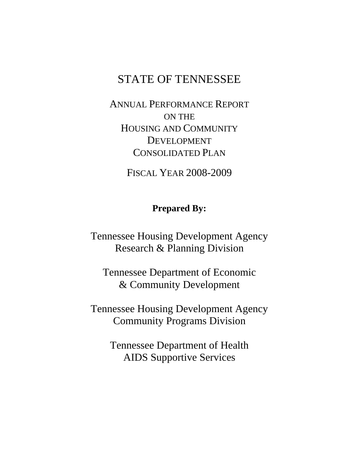# STATE OF TENNESSEE

ANNUAL PERFORMANCE REPORT ON THE HOUSING AND COMMUNITY DEVELOPMENT CONSOLIDATED PLAN

FISCAL YEAR 2008-2009

# **Prepared By:**

Tennessee Housing Development Agency Research & Planning Division

Tennessee Department of Economic & Community Development

Tennessee Housing Development Agency Community Programs Division

> Tennessee Department of Health AIDS Supportive Services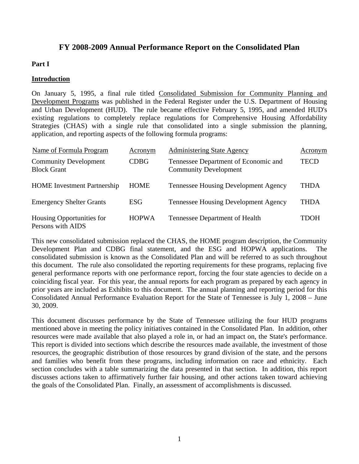# **FY 2008-2009 Annual Performance Report on the Consolidated Plan**

## **Part I**

#### **Introduction**

On January 5, 1995, a final rule titled Consolidated Submission for Community Planning and Development Programs was published in the Federal Register under the U.S. Department of Housing and Urban Development (HUD). The rule became effective February 5, 1995, and amended HUD's existing regulations to completely replace regulations for Comprehensive Housing Affordability Strategies (CHAS) with a single rule that consolidated into a single submission the planning, application, and reporting aspects of the following formula programs:

| Name of Formula Program                            | Acronym      | <b>Administering State Agency</b>                                    | Acronym     |
|----------------------------------------------------|--------------|----------------------------------------------------------------------|-------------|
| <b>Community Development</b><br><b>Block Grant</b> | <b>CDBG</b>  | Tennessee Department of Economic and<br><b>Community Development</b> | <b>TECD</b> |
| <b>HOME</b> Investment Partnership                 | <b>HOME</b>  | <b>Tennessee Housing Development Agency</b>                          | <b>THDA</b> |
| <b>Emergency Shelter Grants</b>                    | <b>ESG</b>   | <b>Tennessee Housing Development Agency</b>                          | <b>THDA</b> |
| Housing Opportunities for<br>Persons with AIDS     | <b>HOPWA</b> | Tennessee Department of Health                                       | <b>TDOH</b> |

This new consolidated submission replaced the CHAS, the HOME program description, the Community Development Plan and CDBG final statement, and the ESG and HOPWA applications. The consolidated submission is known as the Consolidated Plan and will be referred to as such throughout this document. The rule also consolidated the reporting requirements for these programs, replacing five general performance reports with one performance report, forcing the four state agencies to decide on a coinciding fiscal year. For this year, the annual reports for each program as prepared by each agency in prior years are included as Exhibits to this document. The annual planning and reporting period for this Consolidated Annual Performance Evaluation Report for the State of Tennessee is July 1, 2008 – June 30, 2009.

This document discusses performance by the State of Tennessee utilizing the four HUD programs mentioned above in meeting the policy initiatives contained in the Consolidated Plan. In addition, other resources were made available that also played a role in, or had an impact on, the State's performance. This report is divided into sections which describe the resources made available, the investment of those resources, the geographic distribution of those resources by grand division of the state, and the persons and families who benefit from these programs, including information on race and ethnicity. Each section concludes with a table summarizing the data presented in that section. In addition, this report discusses actions taken to affirmatively further fair housing, and other actions taken toward achieving the goals of the Consolidated Plan. Finally, an assessment of accomplishments is discussed.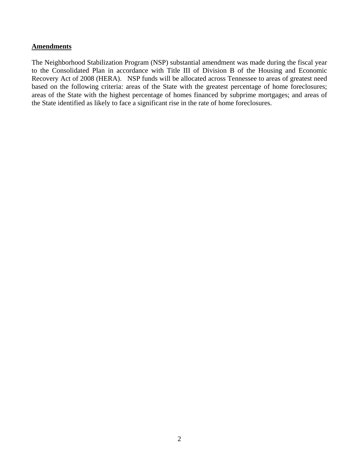#### **Amendments**

The Neighborhood Stabilization Program (NSP) substantial amendment was made during the fiscal year to the Consolidated Plan in accordance with Title III of Division B of the Housing and Economic Recovery Act of 2008 (HERA). NSP funds will be allocated across Tennessee to areas of greatest need based on the following criteria: areas of the State with the greatest percentage of home foreclosures; areas of the State with the highest percentage of homes financed by subprime mortgages; and areas of the State identified as likely to face a significant rise in the rate of home foreclosures.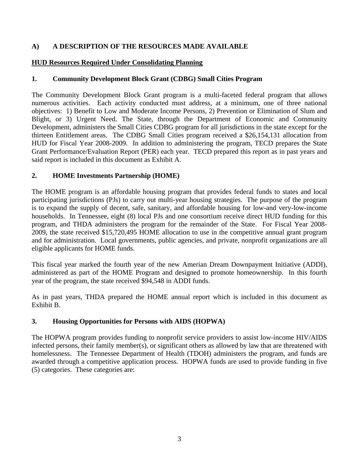## **A) A DESCRIPTION OF THE RESOURCES MADE AVAILABLE**

## **HUD Resources Required Under Consolidating Planning**

## **1. Community Development Block Grant (CDBG) Small Cities Program**

The Community Development Block Grant program is a multi-faceted federal program that allows numerous activities. Each activity conducted must address, at a minimum, one of three national objectives: 1) Benefit to Low and Moderate Income Persons, 2) Prevention or Elimination of Slum and Blight, or 3) Urgent Need. The State, through the Department of Economic and Community Development, administers the Small Cities CDBG program for all jurisdictions in the state except for the thirteen Entitlement areas. The CDBG Small Cities program received a \$26,154,131 allocation from HUD for Fiscal Year 2008-2009. In addition to administering the program, TECD prepares the State Grant Performance/Evaluation Report (PER) each year. TECD prepared this report as in past years and said report is included in this document as Exhibit A.

## **2. HOME Investments Partnership (HOME)**

The HOME program is an affordable housing program that provides federal funds to states and local participating jurisdictions (PJs) to carry out multi-year housing strategies. The purpose of the program is to expand the supply of decent, safe, sanitary, and affordable housing for low-and very-low-income households. In Tennessee, eight (8) local PJs and one consortium receive direct HUD funding for this program, and THDA administers the program for the remainder of the State. For Fiscal Year 2008- 2009, the state received \$15,720,495 HOME allocation to use in the competitive annual grant program and for administration. Local governments, public agencies, and private, nonprofit organizations are all eligible applicants for HOME funds.

This fiscal year marked the fourth year of the new Amerian Dream Downpayment Initiative (ADDI), administered as part of the HOME Program and designed to promote homeownership. In this fourth year of the program, the state received \$94,548 in ADDI funds.

As in past years, THDA prepared the HOME annual report which is included in this document as Exhibit B.

## **3. Housing Opportunities for Persons with AIDS (HOPWA)**

The HOPWA program provides funding to nonprofit service providers to assist low-income HIV/AIDS infected persons, their family member(s), or significant others as allowed by law that are threatened with homelessness. The Tennessee Department of Health (TDOH) administers the program, and funds are awarded through a competitive application process. HOPWA funds are used to provide funding in five (5) categories. These categories are: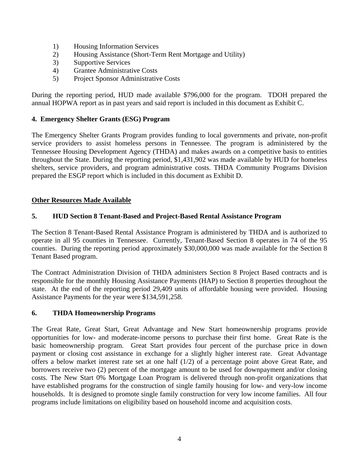- 1) Housing Information Services
- 2) Housing Assistance (Short-Term Rent Mortgage and Utility)
- 3) Supportive Services
- 4) Grantee Administrative Costs
- 5) Project Sponsor Administrative Costs

During the reporting period, HUD made available \$796,000 for the program. TDOH prepared the annual HOPWA report as in past years and said report is included in this document as Exhibit C.

#### **4. Emergency Shelter Grants (ESG) Program**

The Emergency Shelter Grants Program provides funding to local governments and private, non-profit service providers to assist homeless persons in Tennessee. The program is administered by the Tennessee Housing Development Agency (THDA) and makes awards on a competitive basis to entities throughout the State. During the reporting period, \$1,431,902 was made available by HUD for homeless shelters, service providers, and program administrative costs. THDA Community Programs Division prepared the ESGP report which is included in this document as Exhibit D.

#### **Other Resources Made Available**

#### **5. HUD Section 8 Tenant-Based and Project-Based Rental Assistance Program**

The Section 8 Tenant-Based Rental Assistance Program is administered by THDA and is authorized to operate in all 95 counties in Tennessee. Currently, Tenant-Based Section 8 operates in 74 of the 95 counties. During the reporting period approximately \$30,000,000 was made available for the Section 8 Tenant Based program.

The Contract Administration Division of THDA administers Section 8 Project Based contracts and is responsible for the monthly Housing Assistance Payments (HAP) to Section 8 properties throughout the state. At the end of the reporting period 29,409 units of affordable housing were provided. Housing Assistance Payments for the year were \$134,591,258.

#### **6. THDA Homeownership Programs**

The Great Rate, Great Start, Great Advantage and New Start homeownership programs provide opportunities for low- and moderate-income persons to purchase their first home. Great Rate is the basic homeownership program. Great Start provides four percent of the purchase price in down payment or closing cost assistance in exchange for a slightly higher interest rate. Great Advantage offers a below market interest rate set at one half (1/2) of a percentage point above Great Rate, and borrowers receive two (2) percent of the mortgage amount to be used for downpayment and/or closing costs. The New Start 0% Mortgage Loan Program is delivered through non-profit organizations that have established programs for the construction of single family housing for low- and very-low income households. It is designed to promote single family construction for very low income families. All four programs include limitations on eligibility based on household income and acquisition costs.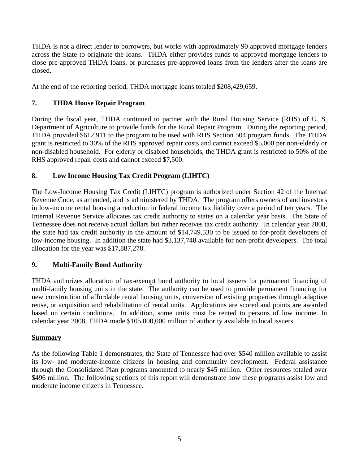THDA is not a direct lender to borrowers, but works with approximately 90 approved mortgage lenders across the State to originate the loans. THDA either provides funds to approved mortgage lenders to close pre-approved THDA loans, or purchases pre-approved loans from the lenders after the loans are closed.

At the end of the reporting period, THDA mortgage loans totaled \$208,429,659.

# **7. THDA House Repair Program**

During the fiscal year, THDA continued to partner with the Rural Housing Service (RHS) of U. S. Department of Agriculture to provide funds for the Rural Repair Program. During the reporting period, THDA provided \$612,911 to the program to be used with RHS Section 504 program funds. The THDA grant is restricted to 30% of the RHS approved repair costs and cannot exceed \$5,000 per non-elderly or non-disabled household. For elderly or disabled households, the THDA grant is restricted to 50% of the RHS approved repair costs and cannot exceed \$7,500.

# **8. Low Income Housing Tax Credit Program (LIHTC)**

The Low-Income Housing Tax Credit (LIHTC) program is authorized under Section 42 of the Internal Revenue Code, as amended, and is administered by THDA. The program offers owners of and investors in low-income rental housing a reduction in federal income tax liability over a period of ten years. The Internal Revenue Service allocates tax credit authority to states on a calendar year basis. The State of Tennessee does not receive actual dollars but rather receives tax credit authority. In calendar year 2008, the state had tax credit authority in the amount of \$14,749,530 to be issued to for-profit developers of low-income housing. In addition the state had \$3,137,748 available for non-profit developers. The total allocation for the year was \$17,887,278.

# **9. Multi-Family Bond Authority**

THDA authorizes allocation of tax-exempt bond authority to local issuers for permanent financing of multi-family housing units in the state. The authority can be used to provide permanent financing for new construction of affordable rental housing units, conversion of existing properties through adaptive reuse, or acquisition and rehabilitation of rental units. Applications are scored and points are awarded based on certain conditions. In addition, some units must be rented to persons of low income. In calendar year 2008, THDA made \$105,000,000 million of authority available to local issuers.

# **Summary**

As the following Table 1 demonstrates, the State of Tennessee had over \$540 million available to assist its low- and moderate-income citizens in housing and community development. Federal assistance through the Consolidated Plan programs amounted to nearly \$45 million. Other resources totaled over \$496 million. The following sections of this report will demonstrate how these programs assist low and moderate income citizens in Tennessee.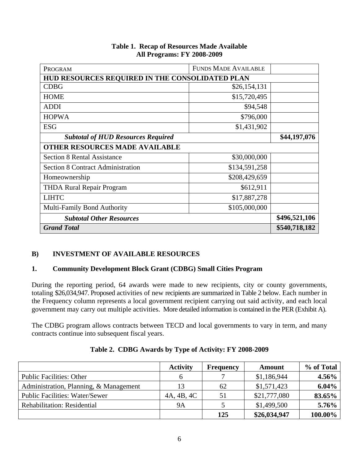| PROGRAM                                         | <b>FUNDS MADE AVAILABLE</b> |  |  |  |
|-------------------------------------------------|-----------------------------|--|--|--|
| HUD RESOURCES REQUIRED IN THE CONSOLIDATED PLAN |                             |  |  |  |
| <b>CDBG</b>                                     | \$26,154,131                |  |  |  |
| <b>HOME</b>                                     | \$15,720,495                |  |  |  |
| <b>ADDI</b>                                     | \$94,548                    |  |  |  |
| <b>HOPWA</b>                                    | \$796,000                   |  |  |  |
| <b>ESG</b>                                      | \$1,431,902                 |  |  |  |
| <b>Subtotal of HUD Resources Required</b>       | \$44,197,076                |  |  |  |
| <b>OTHER RESOURCES MADE AVAILABLE</b>           |                             |  |  |  |
| <b>Section 8 Rental Assistance</b>              | \$30,000,000                |  |  |  |
| <b>Section 8 Contract Administration</b>        | \$134,591,258               |  |  |  |
| Homeownership                                   | \$208,429,659               |  |  |  |
| <b>THDA Rural Repair Program</b>                | \$612,911                   |  |  |  |
| <b>LIHTC</b>                                    |                             |  |  |  |
| <b>Multi-Family Bond Authority</b>              | \$105,000,000               |  |  |  |
| <b>Subtotal Other Resources</b>                 | \$496,521,106               |  |  |  |
| <b>Grand Total</b>                              | \$540,718,182               |  |  |  |

#### **Table 1. Recap of Resources Made Available All Programs: FY 2008-2009**

## **B) INVESTMENT OF AVAILABLE RESOURCES**

## **1. Community Development Block Grant (CDBG) Small Cities Program**

During the reporting period, 64 awards were made to new recipients, city or county governments, totaling \$26,034,947. Proposed activities of new recipients are summarized in Table 2 below. Each number in the Frequency column represents a local government recipient carrying out said activity, and each local government may carry out multiple activities. More detailed information is contained in the PER (Exhibit A).

The CDBG program allows contracts between TECD and local governments to vary in term, and many contracts continue into subsequent fiscal years.

|                                        | <b>Activity</b> | <b>Frequency</b> | Amount       | % of Total |
|----------------------------------------|-----------------|------------------|--------------|------------|
| <b>Public Facilities: Other</b>        |                 |                  | \$1,186,944  | 4.56%      |
| Administration, Planning, & Management |                 | 62               | \$1,571,423  | 6.04%      |
| <b>Public Facilities: Water/Sewer</b>  | 4A, 4B, 4C      | 51               | \$21,777,080 | 83.65%     |
| <b>Rehabilitation: Residential</b>     | <b>9A</b>       |                  | \$1,499,500  | 5.76%      |
|                                        |                 | 125              | \$26,034,947 | 100.00%    |

## **Table 2. CDBG Awards by Type of Activity: FY 2008-2009**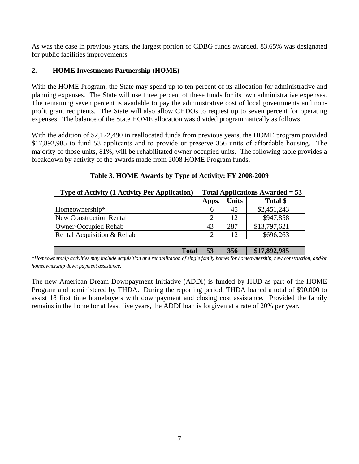As was the case in previous years, the largest portion of CDBG funds awarded, 83.65% was designated for public facilities improvements.

## **2. HOME Investments Partnership (HOME)**

With the HOME Program, the State may spend up to ten percent of its allocation for administrative and planning expenses. The State will use three percent of these funds for its own administrative expenses. The remaining seven percent is available to pay the administrative cost of local governments and nonprofit grant recipients. The State will also allow CHDOs to request up to seven percent for operating expenses. The balance of the State HOME allocation was divided programmatically as follows:

With the addition of \$2,172,490 in reallocated funds from previous years, the HOME program provided \$17,892,985 to fund 53 applicants and to provide or preserve 356 units of affordable housing. The majority of those units, 81%, will be rehabilitated owner occupied units. The following table provides a breakdown by activity of the awards made from 2008 HOME Program funds.

| <b>Type of Activity (1 Activity Per Application)</b> | <b>Total Applications Awarded = 53</b> |              |              |
|------------------------------------------------------|----------------------------------------|--------------|--------------|
|                                                      | Apps.                                  | <b>Units</b> | Total \$     |
| Homeownership*                                       | 6                                      | 45           | \$2,451,243  |
| <b>New Construction Rental</b>                       |                                        | 12           | \$947,858    |
| <b>Owner-Occupied Rehab</b>                          | 43                                     | 287          | \$13,797,621 |
| Rental Acquisition & Rehab                           |                                        | 12           | \$696,263    |
|                                                      |                                        |              |              |
| <b>Total</b>                                         | 53                                     | 356          | \$17,892,985 |

**Table 3. HOME Awards by Type of Activity: FY 2008-2009** 

*\*Homeownership activities may include acquisition and rehabilitation of single family homes for homeownership, new construction, and/or homeownership down payment assistance.* 

The new American Dream Downpayment Initiative (ADDI) is funded by HUD as part of the HOME Program and administered by THDA. During the reporting period, THDA loaned a total of \$90,000 to assist 18 first time homebuyers with downpayment and closing cost assistance. Provided the family remains in the home for at least five years, the ADDI loan is forgiven at a rate of 20% per year.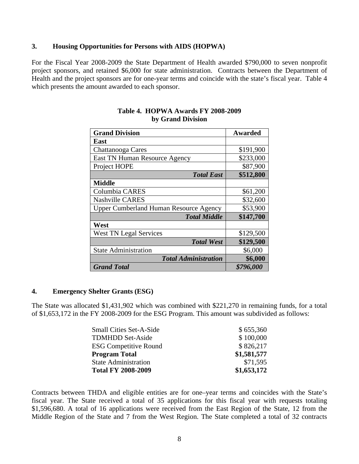#### **3. Housing Opportunities for Persons with AIDS (HOPWA)**

For the Fiscal Year 2008-2009 the State Department of Health awarded \$790,000 to seven nonprofit project sponsors, and retained \$6,000 for state administration. Contracts between the Department of Health and the project sponsors are for one-year terms and coincide with the state's fiscal year. Table 4 which presents the amount awarded to each sponsor.

| <b>Grand Division</b>                         | <b>Awarded</b> |
|-----------------------------------------------|----------------|
| East                                          |                |
| Chattanooga Cares                             | \$191,900      |
| East TN Human Resource Agency                 | \$233,000      |
| Project HOPE                                  | \$87,900       |
| <b>Total East</b>                             | \$512,800      |
| <b>Middle</b>                                 |                |
| Columbia CARES                                | \$61,200       |
| <b>Nashville CARES</b>                        | \$32,600       |
| <b>Upper Cumberland Human Resource Agency</b> | \$53,900       |
| <b>Total Middle</b>                           | \$147,700      |
| West                                          |                |
| <b>West TN Legal Services</b>                 | \$129,500      |
| <b>Total West</b>                             | \$129,500      |
| <b>State Administration</b>                   | \$6,000        |
| <b>Total Administration</b>                   | \$6,000        |
| <b>Grand Total</b>                            | \$796,000      |

#### **Table 4. HOPWA Awards FY 2008-2009 by Grand Division**

#### **4. Emergency Shelter Grants (ESG)**

The State was allocated \$1,431,902 which was combined with \$221,270 in remaining funds, for a total of \$1,653,172 in the FY 2008-2009 for the ESG Program. This amount was subdivided as follows:

| <b>Small Cities Set-A-Side</b> | \$655,360   |
|--------------------------------|-------------|
| <b>TDMHDD Set-Aside</b>        | \$100,000   |
| <b>ESG Competitive Round</b>   | \$826,217   |
| <b>Program Total</b>           | \$1,581,577 |
| <b>State Administration</b>    | \$71,595    |
| <b>Total FY 2008-2009</b>      | \$1,653,172 |

Contracts between THDA and eligible entities are for one–year terms and coincides with the State's fiscal year. The State received a total of 35 applications for this fiscal year with requests totaling \$1,596,680. A total of 16 applications were received from the East Region of the State, 12 from the Middle Region of the State and 7 from the West Region. The State completed a total of 32 contracts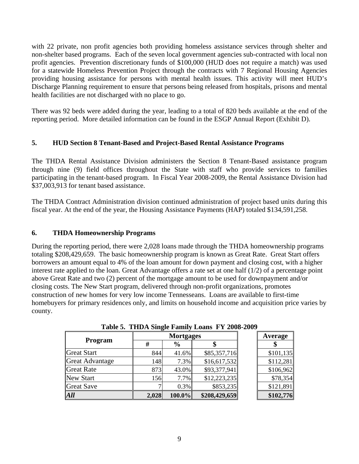with 22 private, non profit agencies both providing homeless assistance services through shelter and non-shelter based programs. Each of the seven local government agencies sub-contracted with local non profit agencies. Prevention discretionary funds of \$100,000 (HUD does not require a match) was used for a statewide Homeless Prevention Project through the contracts with 7 Regional Housing Agencies providing housing assistance for persons with mental health issues. This activity will meet HUD's Discharge Planning requirement to ensure that persons being released from hospitals, prisons and mental health facilities are not discharged with no place to go.

There was 92 beds were added during the year, leading to a total of 820 beds available at the end of the reporting period. More detailed information can be found in the ESGP Annual Report (Exhibit D).

# **5. HUD Section 8 Tenant-Based and Project-Based Rental Assistance Programs**

The THDA Rental Assistance Division administers the Section 8 Tenant-Based assistance program through nine (9) field offices throughout the State with staff who provide services to families participating in the tenant-based program. In Fiscal Year 2008-2009, the Rental Assistance Division had \$37,003,913 for tenant based assistance.

The THDA Contract Administration division continued administration of project based units during this fiscal year. At the end of the year, the Housing Assistance Payments (HAP) totaled \$134,591,258.

## **6. THDA Homeownership Programs**

During the reporting period, there were 2,028 loans made through the THDA homeownership programs totaling \$208,429,659. The basic homeownership program is known as Great Rate. Great Start offers borrowers an amount equal to 4% of the loan amount for down payment and closing cost, with a higher interest rate applied to the loan. Great Advantage offers a rate set at one half (1/2) of a percentage point above Great Rate and two (2) percent of the mortgage amount to be used for downpayment and/or closing costs. The New Start program, delivered through non-profit organizations, promotes construction of new homes for very low income Tennesseans. Loans are available to first-time homebuyers for primary residences only, and limits on household income and acquisition price varies by county.

|                        |       | <b>Mortgages</b> | Average       |           |
|------------------------|-------|------------------|---------------|-----------|
| <b>Program</b>         | #     | $\frac{6}{9}$    |               |           |
| <b>Great Start</b>     | 844   | 41.6%            | \$85,357,716  | \$101,135 |
| <b>Great Advantage</b> | 148   | 7.3%             | \$16,617,532  | \$112,281 |
| <b>Great Rate</b>      | 873   | 43.0%            | \$93,377,941  | \$106,962 |
| <b>New Start</b>       | 156   | 7.7%             | \$12,223,235  | \$78,354  |
| <b>Great Save</b>      |       | 0.3%             | \$853,235     | \$121,891 |
| <b>All</b>             | 2,028 | 100.0%           | \$208,429,659 | \$102,776 |

**Table 5. THDA Single Family Loans FY 2008-2009**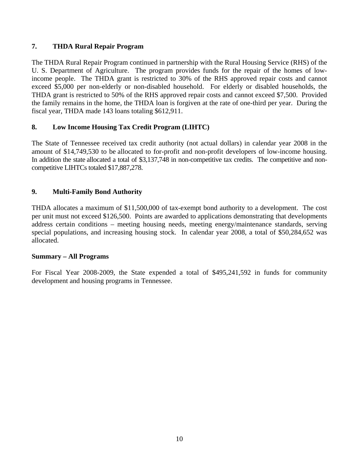## **7. THDA Rural Repair Program**

The THDA Rural Repair Program continued in partnership with the Rural Housing Service (RHS) of the U. S. Department of Agriculture. The program provides funds for the repair of the homes of lowincome people. The THDA grant is restricted to 30% of the RHS approved repair costs and cannot exceed \$5,000 per non-elderly or non-disabled household. For elderly or disabled households, the THDA grant is restricted to 50% of the RHS approved repair costs and cannot exceed \$7,500. Provided the family remains in the home, the THDA loan is forgiven at the rate of one-third per year. During the fiscal year, THDA made 143 loans totaling \$612,911.

## **8. Low Income Housing Tax Credit Program (LIHTC)**

The State of Tennessee received tax credit authority (not actual dollars) in calendar year 2008 in the amount of \$14,749,530 to be allocated to for-profit and non-profit developers of low-income housing. In addition the state allocated a total of \$3,137,748 in non-competitive tax credits. The competitive and noncompetitive LIHTCs totaled \$17,887,278.

## **9. Multi-Family Bond Authority**

THDA allocates a maximum of \$11,500,000 of tax-exempt bond authority to a development. The cost per unit must not exceed \$126,500. Points are awarded to applications demonstrating that developments address certain conditions – meeting housing needs, meeting energy/maintenance standards, serving special populations, and increasing housing stock. In calendar year 2008, a total of \$50,284,652 was allocated.

## **Summary – All Programs**

For Fiscal Year 2008-2009, the State expended a total of \$495,241,592 in funds for community development and housing programs in Tennessee.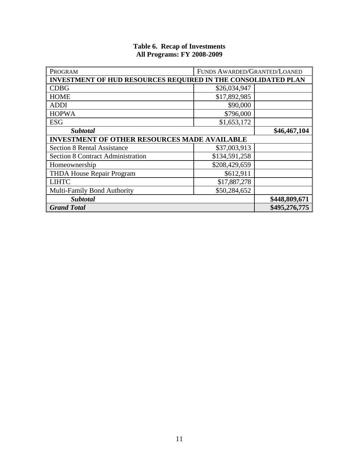| PROGRAM                                                              | FUNDS AWARDED/GRANTED/LOANED |               |
|----------------------------------------------------------------------|------------------------------|---------------|
| <b>INVESTMENT OF HUD RESOURCES REQUIRED IN THE CONSOLIDATED PLAN</b> |                              |               |
| <b>CDBG</b>                                                          | \$26,034,947                 |               |
| <b>HOME</b>                                                          | \$17,892,985                 |               |
| <b>ADDI</b>                                                          | \$90,000                     |               |
| <b>HOPWA</b>                                                         | \$796,000                    |               |
| <b>ESG</b>                                                           | \$1,653,172                  |               |
| <b>Subtotal</b>                                                      | \$46,467,104                 |               |
| <b>INVESTMENT OF OTHER RESOURCES MADE AVAILABLE</b>                  |                              |               |
| <b>Section 8 Rental Assistance</b>                                   | \$37,003,913                 |               |
| <b>Section 8 Contract Administration</b>                             | \$134,591,258                |               |
| Homeownership                                                        | \$208,429,659                |               |
| <b>THDA House Repair Program</b>                                     | \$612,911                    |               |
| <b>LIHTC</b>                                                         | \$17,887,278                 |               |
| <b>Multi-Family Bond Authority</b>                                   | \$50,284,652                 |               |
| <b>Subtotal</b>                                                      | \$448,809,671                |               |
| <b>Grand Total</b>                                                   |                              | \$495,276,775 |

#### **Table 6. Recap of Investments All Programs: FY 2008-2009**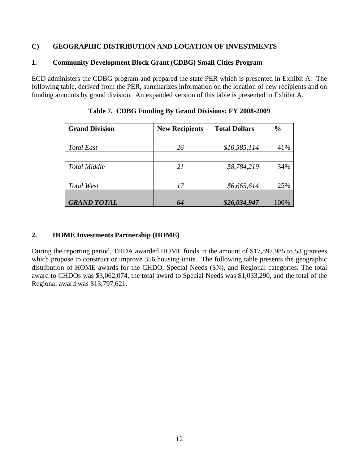## **C) GEOGRAPHIC DISTRIBUTION AND LOCATION OF INVESTMENTS**

#### **1. Community Development Block Grant (CDBG) Small Cities Program**

ECD administers the CDBG program and prepared the state PER which is presented in Exhibit A. The following table, derived from the PER, summarizes information on the location of new recipients and on funding amounts by grand division. An expanded version of this table is presented in Exhibit A.

| <b>Grand Division</b> | <b>New Recipients</b> | <b>Total Dollars</b> | $\frac{0}{0}$ |
|-----------------------|-----------------------|----------------------|---------------|
|                       |                       |                      |               |
| <b>Total East</b>     | 26                    | \$10,585,114         | 41%           |
|                       |                       |                      |               |
| <b>Total Middle</b>   | 21                    | \$8,784,219          | 34%           |
|                       |                       |                      |               |
| Total West            | 17                    | \$6,665,614          | 25%           |
|                       |                       |                      |               |
| <b>GRAND TOTAL</b>    | 64                    | \$26,034,947         | 100%          |

**Table 7. CDBG Funding By Grand Divisions: FY 2008-2009**

## **2. HOME Investments Partnership (HOME)**

During the reporting period, THDA awarded HOME funds in the amount of \$17,892,985 to 53 grantees which propose to construct or improve 356 housing units. The following table presents the geographic distribution of HOME awards for the CHDO, Special Needs (SN), and Regional categories. The total award to CHDOs was \$3,062,074, the total award to Special Needs was \$1,033,290, and the total of the Regional award was \$13,797,621.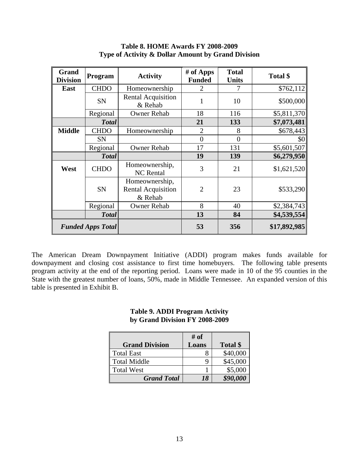| Grand<br><b>Division</b> | Program                                           | <b>Activity</b>                                        | $#$ of Apps<br><b>Funded</b> | <b>Total</b><br><b>Units</b> | Total \$     |
|--------------------------|---------------------------------------------------|--------------------------------------------------------|------------------------------|------------------------------|--------------|
| East                     | <b>CHDO</b>                                       | Homeownership                                          | 2                            |                              | \$762,112    |
|                          | SN                                                | <b>Rental Acquisition</b><br>& Rehab                   |                              | 10                           | \$500,000    |
|                          | Regional                                          | <b>Owner Rehab</b>                                     | 18                           | 116                          | \$5,811,370  |
|                          | <b>Total</b>                                      |                                                        | 21                           | 133                          | \$7,073,481  |
| <b>Middle</b>            | <b>CHDO</b>                                       | Homeownership                                          | $\overline{2}$               | 8                            | \$678,443    |
|                          | <b>SN</b>                                         |                                                        | $\overline{0}$               | $\overline{0}$               | \$0          |
|                          | Regional                                          | <b>Owner Rehab</b>                                     | 17                           | 131                          | \$5,601,507  |
|                          | <b>Total</b>                                      |                                                        | 19                           | 139                          | \$6,279,950  |
| West                     | Homeownership,<br><b>CHDO</b><br><b>NC</b> Rental |                                                        | 3                            | 21                           | \$1,621,520  |
|                          | SN                                                | Homeownership,<br><b>Rental Acquisition</b><br>& Rehab |                              | 23                           | \$533,290    |
|                          | Regional                                          | <b>Owner Rehab</b>                                     | 8                            | 40                           | \$2,384,743  |
|                          | <b>Total</b>                                      |                                                        | 13                           | 84                           | \$4,539,554  |
|                          | <b>Funded Apps Total</b>                          |                                                        | 53                           | 356                          | \$17,892,985 |

## **Table 8. HOME Awards FY 2008-2009 Type of Activity & Dollar Amount by Grand Division**

The American Dream Downpayment Initiative (ADDI) program makes funds available for downpayment and closing cost assistance to first time homebuyers. The following table presents program activity at the end of the reporting period. Loans were made in 10 of the 95 counties in the State with the greatest number of loans, 50%, made in Middle Tennessee. An expanded version of this table is presented in Exhibit B.

#### **Table 9. ADDI Program Activity by Grand Division FY 2008-2009**

|                       | # of  |          |
|-----------------------|-------|----------|
| <b>Grand Division</b> | Loans | Total \$ |
| <b>Total East</b>     |       | \$40,000 |
| <b>Total Middle</b>   |       | \$45,000 |
| <b>Total West</b>     |       | \$5,000  |
| <b>Grand Total</b>    | 18    | \$90,000 |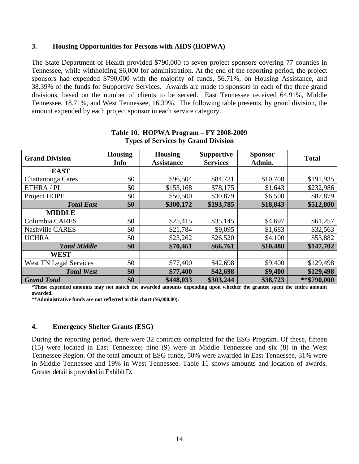#### **3. Housing Opportunities for Persons with AIDS (HOPWA)**

The State Department of Health provided \$790,000 to seven project sponsors covering 77 counties in Tennessee, while withholding \$6,000 for administration. At the end of the reporting period, the project sponsors had expended \$790,000 with the majority of funds, 56.71%, on Housing Assistance, and 38.39% of the funds for Supportive Services. Awards are made to sponsors in each of the three grand divisions, based on the number of clients to be served. East Tennessee received 64.91%, Middle Tennessee, 18.71%, and West Tennessee, 16.39%. The following table presents, by grand division, the amount expended by each project sponsor in each service category.

| <b>Grand Division</b>         | <b>Housing</b><br>Info | <b>Housing</b><br><b>Assistance</b> | <b>Supportive</b><br><b>Services</b> | <b>Sponsor</b><br>Admin. | <b>Total</b> |
|-------------------------------|------------------------|-------------------------------------|--------------------------------------|--------------------------|--------------|
| <b>EAST</b>                   |                        |                                     |                                      |                          |              |
| Chattanooga Cares             | \$0                    | \$96,504                            | \$84,731                             | \$10,700                 | \$191,935    |
| ETHRA / PL                    | \$0                    | \$153,168                           | \$78,175                             | \$1,643                  | \$232,986    |
| Project HOPE                  | \$0                    | \$50,500                            | \$30,879                             | \$6,500                  | \$87,879     |
| <b>Total East</b>             | \$0                    | \$300,172                           | \$193,785                            | \$18,843                 | \$512,800    |
| <b>MIDDLE</b>                 |                        |                                     |                                      |                          |              |
| Columbia CARES                | \$0                    | \$25,415                            | \$35,145                             | \$4,697                  | \$61,257     |
| <b>Nashville CARES</b>        | \$0                    | \$21,784                            | \$9,095                              | \$1,683                  | \$32,563     |
| <b>UCHRA</b>                  | \$0                    | \$23,262                            | \$26,520                             | \$4,100                  | \$53,882     |
| <b>Total Middle</b>           | \$0                    | \$70,461                            | \$66,761                             | \$10,480                 | \$147,702    |
| <b>WEST</b>                   |                        |                                     |                                      |                          |              |
| <b>West TN Legal Services</b> | \$0                    | \$77,400                            | \$42,698                             | \$9,400                  | \$129,498    |
| <b>Total West</b>             | \$0                    | \$77,400                            | \$42,698                             | \$9,400                  | \$129,498    |
| <b>Grand Total</b>            | \$0                    | \$448,033                           | \$303,244                            | \$38,723                 | **\$790,000  |

#### **Table 10. HOPWA Program – FY 2008-2009 Types of Services by Grand Division**

**\*These expended amounts may not match the awarded amounts depending upon whether the grantee spent the entire amount awarded.** 

**\*\*Administrative funds are not reflected in this chart (\$6,000.00).** 

#### **4. Emergency Shelter Grants (ESG)**

During the reporting period, there were 32 contracts completed for the ESG Program. Of these, fifteen (15) were located in East Tennessee; nine (9) were in Middle Tennessee and six (8) in the West Tennessee Region. Of the total amount of ESG funds, 50% were awarded in East Tennessee, 31% were in Middle Tennessee and 19% in West Tennessee. Table 11 shows amounts and location of awards. Greater detail is provided in Exhibit D.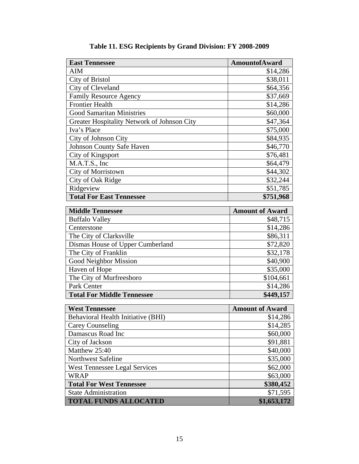| <b>East Tennessee</b>                        | <b>AmountofAward</b>   |
|----------------------------------------------|------------------------|
| <b>AIM</b>                                   | \$14,286               |
| <b>City of Bristol</b>                       | \$38,011               |
| City of Cleveland                            | \$64,356               |
| <b>Family Resource Agency</b>                | \$37,669               |
| <b>Frontier Health</b>                       | \$14,286               |
| <b>Good Samaritan Ministries</b>             | \$60,000               |
| Greater Hospitality Network of Johnson City  | \$47,364               |
| Iva's Place                                  | \$75,000               |
| City of Johnson City                         | \$84,935               |
| Johnson County Safe Haven                    | \$46,770               |
| City of Kingsport                            | \$76,481               |
| M.A.T.S., Inc                                | \$64,479               |
| City of Morristown                           | \$44,302               |
| City of Oak Ridge                            | \$32,244               |
| Ridgeview                                    | \$51,785               |
| <b>Total For East Tennessee</b>              | \$751,968              |
| <b>Middle Tennessee</b>                      | <b>Amount of Award</b> |
| <b>Buffalo Valley</b>                        | \$48,715               |
| Centerstone                                  | \$14,286               |
| The City of Clarksville                      | \$86,311               |
| Dismas House of Upper Cumberland             | \$72,820               |
| The City of Franklin                         | \$32,178               |
| <b>Good Neighbor Mission</b>                 | \$40,900               |
| Haven of Hope                                | \$35,000               |
| The City of Murfreesboro                     | \$104,661              |
| Park Center                                  | \$14,286               |
| <b>Total For Middle Tennessee</b>            | \$449,157              |
|                                              | <b>Amount of Award</b> |
| <b>West Tennessee</b>                        |                        |
| Behavioral Health Initiative (BHI)           | \$14,286               |
| <b>Carey Counseling</b><br>Damascus Road Inc | \$14,285               |
|                                              | \$60,000               |
| City of Jackson                              | \$91,881               |
| Matthew 25:40                                | \$40,000               |
| <b>Northwest Safeline</b>                    | \$35,000               |
| <b>West Tennessee Legal Services</b>         | \$62,000               |
| <b>WRAP</b>                                  | \$63,000               |
| <b>Total For West Tennessee</b>              | \$380,452              |
| <b>State Administration</b>                  | \$71,595               |
| <b>TOTAL FUNDS ALLOCATED</b>                 | \$1,653,172            |

**Table 11. ESG Recipients by Grand Division: FY 2008-2009**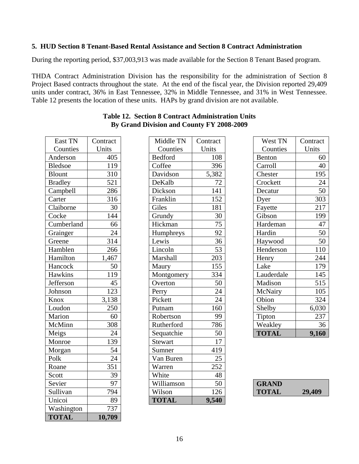#### **5. HUD Section 8 Tenant-Based Rental Assistance and Section 8 Contract Administration**

During the reporting period, \$37,003,913 was made available for the Section 8 Tenant Based program.

THDA Contract Administration Division has the responsibility for the administration of Section 8 Project Based contracts throughout the state. At the end of the fiscal year, the Division reported 29,409 units under contract, 36% in East Tennessee, 32% in Middle Tennessee, and 31% in West Tennessee. Table 12 presents the location of these units. HAPs by grand division are not available.

| East TN              | Contract         |
|----------------------|------------------|
| Counties             | Units            |
| Anderson             | 405              |
| <b>Bledsoe</b>       | 119              |
| <b>Blount</b>        | 310              |
| <b>Bradley</b>       | 521              |
| Campbell             | 286              |
| Carter               | 316              |
| Claiborne            | 30               |
| Cocke                | 144              |
| Cumberland           | 66               |
| Grainger             | $\overline{24}$  |
| $\overline{G}$ reene | 314              |
| Hamblen              | 266              |
| Hamilton             | 1,467            |
| Hancock              | 50               |
| Hawkins              | $\frac{1}{119}$  |
| Jefferson            | $\overline{45}$  |
| Johnson              | 123              |
| Knox                 | 3,138            |
| Loudon               | 250              |
| Marion               | 60               |
| McMinn               | $\overline{3}08$ |
| Meigs                | 24               |
| Monroe               | 139              |
| Morgan               | 54               |
| Polk                 | 24               |
| Roane                | 351              |
| Scott                | 39               |
| Sevier               | 97               |
| Sullivan             | 794              |
| Unicoi               | 89               |
| Washington           | $\overline{7}37$ |
| <b>TOTAL</b>         | 10,709           |

| East TN        | Contract        | Middle TN      | Contract        | West TN      | Contract |
|----------------|-----------------|----------------|-----------------|--------------|----------|
| Counties       | Units           | Counties       | Units           | Counties     | Units    |
| Anderson       | 405             | <b>Bedford</b> | 108             | Benton       | 60       |
| <b>Bledsoe</b> | 119             | Coffee         | 396             | Carroll      | 40       |
| Blount         | 310             | Davidson       | 5,382           | Chester      | 195      |
| <b>Bradley</b> | 521             | DeKalb         | 72              | Crockett     | 24       |
| Campbell       | 286             | Dickson        | 141             | Decatur      | 50       |
| Carter         | 316             | Franklin       | 152             | Dyer         | 303      |
| Claiborne      | 30              | Giles          | 181             | Fayette      | 217      |
| Cocke          | 144             | Grundy         | 30              | Gibson       | 199      |
| Cumberland     | 66              | Hickman        | 75              | Hardeman     | 47       |
| Grainger       | 24              | Humphreys      | 92              | Hardin       | 50       |
| Greene         | 314             | Lewis          | 36              | Haywood      | 50       |
| Hamblen        | 266             | Lincoln        | 53              | Henderson    | 110      |
| Hamilton       | 1,467           | Marshall       | 203             | Henry        | 244      |
| Hancock        | 50              | Maury          | 155             | Lake         | 179      |
| Hawkins        | 119             | Montgomery     | 334             | Lauderdale   | 145      |
| Jefferson      | 45              | Overton        | 50              | Madison      | 515      |
| Johnson        | 123             | Perry          | 24              | McNairy      | 105      |
| Knox           | 3,138           | Pickett        | $\overline{24}$ | Obion        | 324      |
| Loudon         | 250             | Putnam         | 160             | Shelby       | 6,030    |
| Marion         | 60              | Robertson      | 99              | Tipton       | 237      |
| McMinn         | 308             | Rutherford     | 786             | Weakley      | 36       |
| Meigs          | 24              | Sequatchie     | 50              | <b>TOTAL</b> | 9,160    |
| Monroe         | 139             | Stewart        | 17              |              |          |
| Morgan         | 54              | Sumner         | 419             |              |          |
| Polk           | $\overline{24}$ | Van Buren      | 25              |              |          |
| Roane          | 351             | Warren         | 252             |              |          |
| Scott          | 39              | White          | 48              |              |          |
| Sevier         | 97              | Williamson     | 50              | <b>GRAND</b> |          |
| Sullivan       | 794             | Wilson         | 126             | <b>TOTAL</b> | 29,409   |
| Unicoi         | 89              | <b>TOTAL</b>   | 9,540           |              |          |
| Washington     | 737             |                |                 |              |          |

| West TN      | Contract |
|--------------|----------|
| Counties     | Units    |
| Benton       | 60       |
| Carroll      | 40       |
| Chester      | 195      |
| Crockett     | 24       |
| Decatur      | 50       |
| Dyer         | 303      |
| Fayette      | 217      |
| Gibson       | 199      |
| Hardeman     | 47       |
| Hardin       | 50       |
| Haywood      | 50       |
| Henderson    | 110      |
| Henry        | 244      |
| Lake         | 179      |
| Lauderdale   | 145      |
| Madison      | 515      |
| McNairy      | 105      |
| Obion        | 324      |
| Shelby       | 6,030    |
| Tipton       | 237      |
| Weakley      | 36       |
| <b>TOTAL</b> | 9,160    |

| <b>GRAND</b> |        |
|--------------|--------|
| <b>TOTAL</b> | 29,409 |

## **Table 12. Section 8 Contract Administration Units By Grand Division and County FY 2008-2009**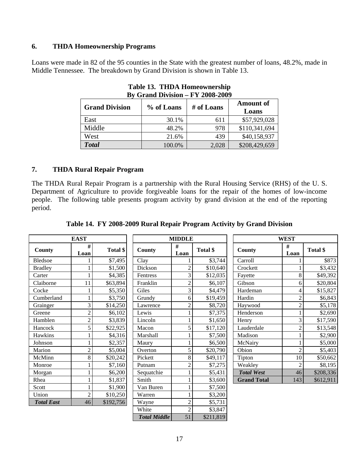#### **6. THDA Homeownership Programs**

Loans were made in 82 of the 95 counties in the State with the greatest number of loans, 48.2%, made in Middle Tennessee. The breakdown by Grand Division is shown in Table 13.

| $\mathbf{D}$ v Orang Division – 1 1 2000-2007 |            |            |                           |  |  |
|-----------------------------------------------|------------|------------|---------------------------|--|--|
| <b>Grand Division</b>                         | % of Loans | # of Loans | <b>Amount of</b><br>Loans |  |  |
| East                                          | 30.1%      | 611        | \$57,929,028              |  |  |
| Middle                                        | 48.2%      | 978        | \$110,341,694             |  |  |
| West                                          | 21.6%      | 439        | \$40,158,937              |  |  |
| <b>Total</b>                                  | 100.0%     | 2,028      | \$208,429,659             |  |  |

**Table 13. THDA Homeownership By Grand Division – FY 2008-2009** 

#### **7. THDA Rural Repair Program**

The THDA Rural Repair Program is a partnership with the Rural Housing Service (RHS) of the U. S. Department of Agriculture to provide forgiveable loans for the repair of the homes of low-income people. The following table presents program activity by grand division at the end of the reporting period.

|                   | <b>EAST</b>    |           |                     | <b>MIDDLE</b>  |           |                    | <b>WEST</b>    |           |
|-------------------|----------------|-----------|---------------------|----------------|-----------|--------------------|----------------|-----------|
| County            | #<br>Loan      | Total \$  | County              | #<br>Loan      | Total \$  | County             | #<br>Loan      | Total \$  |
| Bledsoe           |                | \$7,495   | Clay                |                | \$3,744   | Carroll            |                | \$873     |
| <b>Bradley</b>    |                | \$1,500   | Dickson             | $\overline{2}$ | \$10,640  | Crockett           |                | \$3,432   |
| Carter            |                | \$4,385   | Fentress            | 3              | \$12,035  | Fayette            | 8              | \$49,392  |
| Claiborne         | 11             | \$63,894  | Franklin            | $\overline{2}$ | \$6,107   | Gibson             | 6              | \$20,804  |
| Cocke             |                | \$5,350   | Giles               | 3              | \$4,479   | Hardeman           | 4              | \$15,827  |
| Cumberland        |                | \$3,750   | Grundy              | 6              | \$19,459  | Hardin             | $\overline{c}$ | \$6,843   |
| Grainger          | 3              | \$14,250  | Lawrence            | $\mathfrak 2$  | \$8,720   | Haywood            | $\overline{c}$ | \$5,178   |
| Greene            | $\overline{c}$ | \$6,102   | Lewis               |                | \$7,375   | Henderson          |                | \$2,690   |
| Hamblen           | $\overline{c}$ | \$3,839   | Lincoln             |                | \$1,650   | Henry              | 3              | \$17,590  |
| Hancock           | 5              | \$22,925  | Macon               | 5              | \$17,120  | Lauderdale         | $\overline{c}$ | \$13,548  |
| Hawkins           |                | \$4,316   | Marshall            |                | \$7,500   | Madison            |                | \$2,900   |
| Johnson           |                | \$2,357   | Maury               |                | \$6,500   | McNairy            |                | \$5,000   |
| Marion            | $\overline{c}$ | \$5,004   | Overton             | 5              | \$20,790  | Obion              | $\overline{c}$ | \$5,403   |
| McMinn            | 8              | \$20,242  | Pickett             | 8              | \$49,117  | Tipton             | 10             | \$50,662  |
| Monroe            |                | \$7,160   | Putnam              | $\overline{c}$ | \$7,275   | Weakley            | $\overline{c}$ | \$8,195   |
| Morgan            |                | \$6,200   | Sequatchie          |                | \$5,431   | <b>Total West</b>  | 46             | \$208,336 |
| Rhea              | 1              | \$1,837   | Smith               |                | \$3,600   | <b>Grand Total</b> | 143            | \$612,911 |
| Scott             |                | \$1,900   | Van Buren           |                | \$7,500   |                    |                |           |
| Union             | $\overline{c}$ | \$10,250  | Warren              |                | \$3,200   |                    |                |           |
| <b>Total East</b> | 46             | \$192,756 | Wayne               | $\overline{c}$ | \$5,731   |                    |                |           |
|                   |                |           | White               | $\overline{2}$ | \$3,847   |                    |                |           |
|                   |                |           | <b>Total Middle</b> | 51             | \$211,819 |                    |                |           |

**Table 14. FY 2008-2009 Rural Repair Program Activity by Grand Division**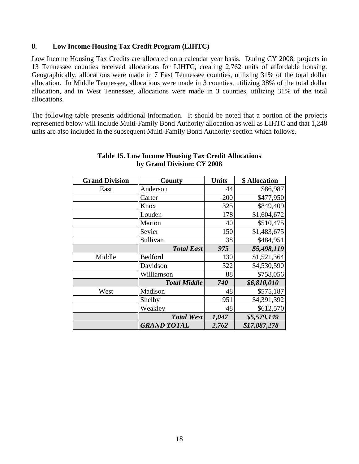#### **8. Low Income Housing Tax Credit Program (LIHTC)**

Low Income Housing Tax Credits are allocated on a calendar year basis. During CY 2008, projects in 13 Tennessee counties received allocations for LIHTC, creating 2,762 units of affordable housing. Geographically, allocations were made in 7 East Tennessee counties, utilizing 31% of the total dollar allocation. In Middle Tennessee, allocations were made in 3 counties, utilizing 38% of the total dollar allocation, and in West Tennessee, allocations were made in 3 counties, utilizing 31% of the total allocations.

The following table presents additional information. It should be noted that a portion of the projects represented below will include Multi-Family Bond Authority allocation as well as LIHTC and that 1,248 units are also included in the subsequent Multi-Family Bond Authority section which follows.

| <b>Grand Division</b> | <b>County</b>       | <b>Units</b> | \$ Allocation |
|-----------------------|---------------------|--------------|---------------|
| East                  | Anderson            | 44           | \$86,987      |
|                       | Carter              | 200          | \$477,950     |
|                       | Knox                | 325          | \$849,409     |
|                       | Louden              | 178          | \$1,604,672   |
|                       | Marion              | 40           | \$510,475     |
|                       | Sevier              | 150          | \$1,483,675   |
|                       | Sullivan            | 38           | \$484,951     |
|                       | <b>Total East</b>   | 975          | \$5,498,119   |
| Middle                | Bedford             | 130          | \$1,521,364   |
|                       | Davidson            | 522          | \$4,530,590   |
|                       | Williamson          | 88           | \$758,056     |
|                       | <b>Total Middle</b> | 740          | \$6,810,010   |
| West                  | Madison             | 48           | \$575,187     |
|                       | Shelby              | 951          | \$4,391,392   |
|                       | Weakley             | 48           | \$612,570     |
|                       | <b>Total West</b>   | 1,047        | \$5,579,149   |
|                       | <b>GRAND TOTAL</b>  | 2,762        | \$17,887,278  |

#### **Table 15. Low Income Housing Tax Credit Allocations by Grand Division: CY 2008**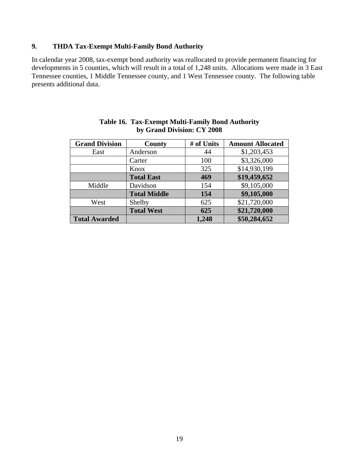## **9. THDA Tax-Exempt Multi-Family Bond Authority**

In calendar year 2008, tax-exempt bond authority was reallocated to provide permanent financing for developments in 5 counties, which will result in a total of 1,248 units. Allocations were made in 3 East Tennessee counties, 1 Middle Tennessee county, and 1 West Tennessee county. The following table presents additional data.

| <b>Grand Division</b> | <b>County</b>       | # of Units | <b>Amount Allocated</b> |
|-----------------------|---------------------|------------|-------------------------|
| East                  | Anderson            | 44         | \$1,203,453             |
|                       | Carter              | 100        | \$3,326,000             |
|                       | Knox                | 325        | \$14,930,199            |
|                       | <b>Total East</b>   | 469        | \$19,459,652            |
| Middle                | Davidson            | 154        | \$9,105,000             |
|                       | <b>Total Middle</b> | 154        | \$9,105,000             |
| West                  | Shelby              | 625        | \$21,720,000            |
|                       | <b>Total West</b>   | 625        | \$21,720,000            |
| <b>Total Awarded</b>  |                     | 1,248      | \$50,284,652            |

#### **Table 16. Tax-Exempt Multi-Family Bond Authority by Grand Division: CY 2008**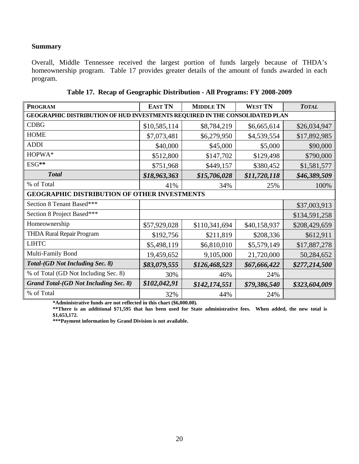## **Summary**

Overall, Middle Tennessee received the largest portion of funds largely because of THDA's homeownership program. Table 17 provides greater details of the amount of funds awarded in each program.

| <b>PROGRAM</b>                                      | <b>EAST TN</b>                                                               | <b>MIDDLE TN</b> | <b>WEST TN</b> | <b>TOTAL</b>  |  |  |  |
|-----------------------------------------------------|------------------------------------------------------------------------------|------------------|----------------|---------------|--|--|--|
|                                                     | GEOGRAPHIC DISTRIBUTION OF HUD INVESTMENTS REQUIRED IN THE CONSOLIDATED PLAN |                  |                |               |  |  |  |
| <b>CDBG</b>                                         | \$10,585,114                                                                 | \$8,784,219      | \$6,665,614    | \$26,034,947  |  |  |  |
| <b>HOME</b>                                         | \$7,073,481                                                                  | \$6,279,950      | \$4,539,554    | \$17,892,985  |  |  |  |
| <b>ADDI</b>                                         | \$40,000                                                                     | \$45,000         | \$5,000        | \$90,000      |  |  |  |
| HOPWA*                                              | \$512,800                                                                    | \$147,702        | \$129,498      | \$790,000     |  |  |  |
| ESG**                                               | \$751,968                                                                    | \$449,157        | \$380,452      | \$1,581,577   |  |  |  |
| <b>Total</b>                                        | \$18,963,363                                                                 | \$15,706,028     | \$11,720,118   | \$46,389,509  |  |  |  |
| % of Total                                          | 41%                                                                          | 34%              | 25%            | 100%          |  |  |  |
| <b>GEOGRAPHIC DISTRIBUTION OF OTHER INVESTMENTS</b> |                                                                              |                  |                |               |  |  |  |
| Section 8 Tenant Based***                           |                                                                              |                  |                | \$37,003,913  |  |  |  |
| Section 8 Project Based***                          |                                                                              |                  |                | \$134,591,258 |  |  |  |
| Homeownership                                       | \$57,929,028                                                                 | \$110,341,694    | \$40,158,937   | \$208,429,659 |  |  |  |
| <b>THDA Rural Repair Program</b>                    | \$192,756                                                                    | \$211,819        | \$208,336      | \$612,911     |  |  |  |
| <b>LIHTC</b>                                        | \$5,498,119                                                                  | \$6,810,010      | \$5,579,149    | \$17,887,278  |  |  |  |
| Multi-Family Bond                                   | 19,459,652                                                                   | 9,105,000        | 21,720,000     | 50,284,652    |  |  |  |
| Total-(GD Not Including Sec. 8)                     | \$83,079,555                                                                 | \$126,468,523    | \$67,666,422   | \$277,214,500 |  |  |  |
| % of Total (GD Not Including Sec. 8)                | 30%                                                                          | 46%              | 24%            |               |  |  |  |
| <b>Grand Total-(GD Not Including Sec. 8)</b>        | \$102,042,91                                                                 | \$142, 174, 551  | \$79,386,540   | \$323,604,009 |  |  |  |
| % of Total                                          | 32%                                                                          | 44%              | 24%            |               |  |  |  |

|  |  | Table 17. Recap of Geographic Distribution - All Programs: FY 2008-2009 |
|--|--|-------------------------------------------------------------------------|
|  |  |                                                                         |

**\*Administrative funds are not reflected in this chart (\$6,000.00).**

\*\*There is an additional \$71,595 that has been used for State administrative fees. When added, the new total is **\$1,653,172.** 

**\*\*\*Payment information by Grand Division is not available.**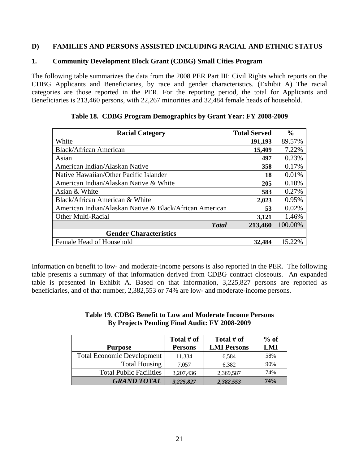## **D) FAMILIES AND PERSONS ASSISTED INCLUDING RACIAL AND ETHNIC STATUS**

#### **1. Community Development Block Grant (CDBG) Small Cities Program**

The following table summarizes the data from the 2008 PER Part III: Civil Rights which reports on the CDBG Applicants and Beneficiaries, by race and gender characteristics. (Exhibit A) The racial categories are those reported in the PER. For the reporting period, the total for Applicants and Beneficiaries is 213,460 persons, with 22,267 minorities and 32,484 female heads of household.

| <b>Racial Category</b>                                  | <b>Total Served</b> | $\frac{0}{0}$ |
|---------------------------------------------------------|---------------------|---------------|
| White                                                   | 191,193             | 89.57%        |
| Black/African American                                  | 15,409              | 7.22%         |
| Asian                                                   | 497                 | 0.23%         |
| American Indian/Alaskan Native                          | 358                 | 0.17%         |
| Native Hawaiian/Other Pacific Islander                  | 18                  | 0.01%         |
| American Indian/Alaskan Native & White                  | 205                 | 0.10%         |
| Asian & White                                           | 583                 | 0.27%         |
| Black/African American & White                          | 2,023               | 0.95%         |
| American Indian/Alaskan Native & Black/African American | 53                  | 0.02%         |
| <b>Other Multi-Racial</b>                               | 3,121               | 1.46%         |
| <b>Total</b>                                            | 213,460             | 100.00%       |
| <b>Gender Characteristics</b>                           |                     |               |
| Female Head of Household                                | 32,484              | 15.22%        |

|  |  | Table 18. CDBG Program Demographics by Grant Year: FY 2008-2009 |
|--|--|-----------------------------------------------------------------|
|  |  |                                                                 |

Information on benefit to low- and moderate-income persons is also reported in the PER. The following table presents a summary of that information derived from CDBG contract closeouts. An expanded table is presented in Exhibit A. Based on that information, 3,225,827 persons are reported as beneficiaries, and of that number, 2,382,553 or 74% are low- and moderate-income persons.

#### **Table 19**. **CDBG Benefit to Low and Moderate Income Persons By Projects Pending Final Audit: FY 2008-2009**

|                                   | Total $#$ of   | Total # of         | $%$ of |
|-----------------------------------|----------------|--------------------|--------|
| <b>Purpose</b>                    | <b>Persons</b> | <b>LMI Persons</b> | LMI    |
| <b>Total Economic Development</b> | 11,334         | 6,584              | 58%    |
| <b>Total Housing</b>              | 7.057          | 6,382              | 90%    |
| <b>Total Public Facilities</b>    | 3,207,436      | 2,369,587          | 74%    |
| <b>GRAND TOTAL</b>                | 3,225,827      | 2,382,553          | 74%    |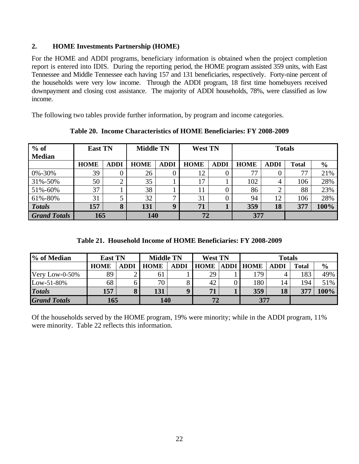## **2. HOME Investments Partnership (HOME)**

For the HOME and ADDI programs, beneficiary information is obtained when the project completion report is entered into IDIS. During the reporting period, the HOME program assisted 359 units, with East Tennessee and Middle Tennessee each having 157 and 131 beneficiaries, respectively. Forty-nine percent of the households were very low income. Through the ADDI program, 18 first time homebuyers received downpayment and closing cost assistance. The majority of ADDI households, 78%, were classified as low income.

The following two tables provide further information, by program and income categories.

| $%$ of<br><b>Median</b> | <b>East TN</b> |             | <b>Middle TN</b> |              | <b>West TN</b> |             | <b>Totals</b> |             |              |               |  |
|-------------------------|----------------|-------------|------------------|--------------|----------------|-------------|---------------|-------------|--------------|---------------|--|
|                         | <b>HOME</b>    | <b>ADDI</b> | <b>HOME</b>      | <b>ADDI</b>  | <b>HOME</b>    | <b>ADDI</b> | <b>HOME</b>   | <b>ADDI</b> | <b>Total</b> | $\frac{6}{9}$ |  |
| 0%-30%                  | 39             | 0           | 26               |              | 12             |             | 77            |             | 77           | 21%           |  |
| 31%-50%                 | 50             | ◠           | 35               |              | 17             |             | 102           |             | 106          | 28%           |  |
| 51%-60%                 | 37             |             | 38               |              | 11             |             | 86            |             | 88           | 23%           |  |
| 61%-80%                 | 31             | J           | 32               | $\mathbf{r}$ | 31             |             | 94            | 12          | 106          | 28%           |  |
| <b>Totals</b>           | 157            | 8           | 131              | $\mathbf 0$  | 71             |             | 359           | 18          | 377          | 100%          |  |
| <b>Grand Totals</b>     | 165            |             | 140              |              | 72             |             | 377           |             |              |               |  |

**Table 20. Income Characteristics of HOME Beneficiaries: FY 2008-2009** 

|  |  |  |  |  | Table 21. Household Income of HOME Beneficiaries: FY 2008-2009 |  |  |
|--|--|--|--|--|----------------------------------------------------------------|--|--|
|--|--|--|--|--|----------------------------------------------------------------|--|--|

| % of Median         | <b>East TN</b> |             |             | <b>Middle TN</b> |             | <b>West TN</b> |                    | <b>Totals</b> |       |               |  |
|---------------------|----------------|-------------|-------------|------------------|-------------|----------------|--------------------|---------------|-------|---------------|--|
|                     | <b>HOME</b>    | <b>ADDI</b> | <b>HOME</b> | ADDI             | <b>HOME</b> |                | <b>ADDI   HOME</b> | <b>ADDI</b>   | Total | $\frac{6}{6}$ |  |
| Very Low-0-50%      | 89             |             | 61          |                  | 29          |                | 79                 |               | 183   | 49%           |  |
| Low-51-80%          | 68             |             | 70          |                  | 42          |                | 180                | 14            | 194   | 51%           |  |
| <b>Totals</b>       | 157            |             | 131         | Q                | 71          |                | 359                | 18            | 377   | 100%          |  |
| <b>Grand Totals</b> | 165            |             | 140         |                  |             |                | 377                |               |       |               |  |

Of the households served by the HOME program, 19% were minority; while in the ADDI program, 11% were minority. Table 22 reflects this information.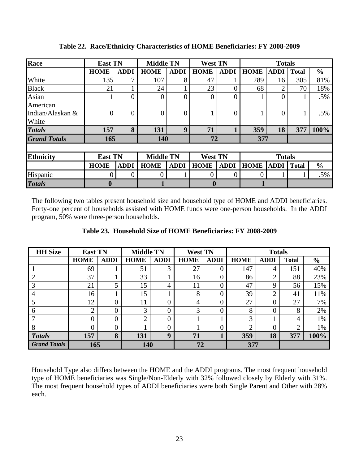| Race                                  | <b>East TN</b>                     |             |                  | <b>Middle TN</b> |             | <b>West TN</b> |               | <b>Totals</b> |              |                |
|---------------------------------------|------------------------------------|-------------|------------------|------------------|-------------|----------------|---------------|---------------|--------------|----------------|
|                                       | <b>HOME</b>                        | <b>ADDI</b> | <b>HOME</b>      | <b>ADDI</b>      | <b>HOME</b> | <b>ADDI</b>    | <b>HOME</b>   | <b>ADDI</b>   | <b>Total</b> | $\frac{6}{10}$ |
| White                                 | 135                                | ⇁           | 107              | 8                | 47          |                | 289           | 16            | 305          | 81%            |
| <b>Black</b>                          | 21                                 |             | 24               |                  | 23          |                | 68            | 2             | 70           | 18%            |
| Asian                                 |                                    |             | 0                |                  | 0           |                |               | 0             |              | .5%            |
| American<br>Indian/Alaskan &<br>White | $\overline{0}$                     | 0           | 0                | $\theta$         |             | 0              |               | 0             |              | .5%            |
| <b>Totals</b>                         | 157                                | 8           | 131              | 9                | 71          |                | 359           | 18            | 377          | 100%           |
| <b>Grand Totals</b>                   | 165                                |             | 140              |                  | 72          |                | 377           |               |              |                |
| <b>Ethnicity</b>                      | <b>Middle TN</b><br><b>East TN</b> |             |                  | <b>West TN</b>   |             |                | <b>Totals</b> |               |              |                |
|                                       | <b>HOME</b>                        | <b>ADDI</b> | <b>HOME</b>      | <b>ADDI</b>      | <b>HOME</b> | <b>ADDI</b>    | <b>HOME</b>   | <b>ADDI</b>   | <b>Total</b> | $\frac{6}{9}$  |
| Hispanic                              |                                    |             | $\left( \right)$ |                  |             |                |               |               |              | .5%            |
| <b>Totals</b>                         | $\boldsymbol{0}$                   |             |                  |                  | $\mathbf 0$ |                |               |               |              |                |

**Table 22. Race/Ethnicity Characteristics of HOME Beneficiaries: FY 2008-2009** 

The following two tables present household size and household type of HOME and ADDI beneficiaries. Forty-one percent of households assisted with HOME funds were one-person households. In the ADDI program, 50% were three-person households.

| <b>HH</b> Size      | <b>East TN</b> |             | <b>Middle TN</b> |                | <b>West TN</b> |             |             | <b>Totals</b> |              |               |
|---------------------|----------------|-------------|------------------|----------------|----------------|-------------|-------------|---------------|--------------|---------------|
|                     | <b>HOME</b>    | <b>ADDI</b> | <b>HOME</b>      | <b>ADDI</b>    | <b>HOME</b>    | <b>ADDI</b> | <b>HOME</b> | <b>ADDI</b>   | <b>Total</b> | $\frac{6}{6}$ |
|                     | 69             |             | 51               | 3              | 27             |             | 147         | 4             | 151          | 40%           |
| 2                   | 37             |             | 33               |                | 16             |             | 86          | ↑             | 88           | 23%           |
| 3                   | 21             | 5           | 15               | 4              | 11             |             | 47          | 9             | 56           | 15%           |
| $\overline{4}$      | 16             |             | 15               |                | 8              |             | 39          | ◠             | 41           | 11%           |
|                     | 12             | $\theta$    | 11               | $\overline{0}$ | $\overline{4}$ |             | 27          | 0             | 27           | 7%            |
| 6                   | ◠<br>∠         | 0           | 3                | $\overline{0}$ | 3              |             | 8           | 0             | 8            | 2%            |
| 7                   |                | 0           | $\bigcap$        | $\overline{0}$ |                |             | 3           |               | 4            | 1%            |
| 8                   |                |             |                  | $\overline{0}$ |                |             | ⌒           |               | ◠            | 1%            |
| <b>Totals</b>       | 157            | 8           | 131              | 9              | 71             |             | 359         | 18            | 377          | 100%          |
| <b>Grand Totals</b> | 165            |             | 140              |                | 72             |             | 377         |               |              |               |

Household Type also differs between the HOME and the ADDI programs. The most frequent household type of HOME beneficiaries was Single/Non-Elderly with 32% followed closely by Elderly with 31%. The most frequent household types of ADDI beneficiaries were both Single Parent and Other with 28% each.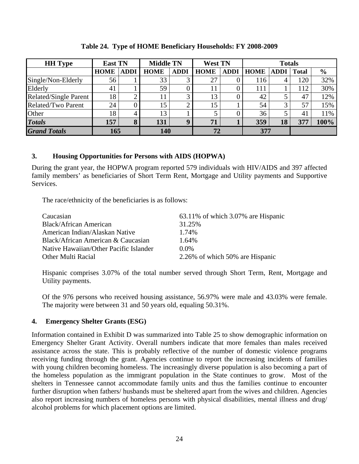| <b>HH</b> Type               | <b>East TN</b> |             |             | <b>Middle TN</b> |                | <b>West TN</b> |             | <b>Totals</b> |              |               |  |
|------------------------------|----------------|-------------|-------------|------------------|----------------|----------------|-------------|---------------|--------------|---------------|--|
|                              | <b>HOME</b>    | <b>ADDI</b> | <b>HOME</b> | <b>ADDI</b>      | <b>HOME</b>    | <b>ADDI</b>    | <b>HOME</b> | <b>ADDI</b>   | <b>Total</b> | $\frac{6}{6}$ |  |
| Single/Non-Elderly           | 56             |             | 33          |                  | 27             |                | 116         | 4             | 120          | 32%           |  |
| Elderly                      | 41             |             | 59          |                  |                |                | 111         |               | 112          | 30%           |  |
| <b>Related/Single Parent</b> | 18             |             |             |                  | 13             |                | 42          |               | 47           | 12%           |  |
| Related/Two Parent           | 24             |             | 15          |                  | 15             |                | 54          | 3             | 57           | 15%           |  |
| Other                        | 18             | 4           | 13          |                  |                |                | 36          |               | 4)           | 11%           |  |
| <b>Totals</b>                | 157            | 8           | 131         |                  | 7 <sup>1</sup> |                | 359         | 18            | 377          | 100%          |  |
| <b>Grand Totals</b>          | 165            |             | 140         |                  | 72             |                | 377         |               |              |               |  |

**Table 24. Type of HOME Beneficiary Households: FY 2008-2009** 

## **3. Housing Opportunities for Persons with AIDS (HOPWA)**

During the grant year, the HOPWA program reported 579 individuals with HIV/AIDS and 397 affected family members' as beneficiaries of Short Term Rent, Mortgage and Utility payments and Supportive Services.

The race/ethnicity of the beneficiaries is as follows:

| Caucasian                              | 63.11% of which 3.07% are Hispanic |
|----------------------------------------|------------------------------------|
| <b>Black/African American</b>          | 31.25%                             |
| American Indian/Alaskan Native         | 1.74%                              |
| Black/African American & Caucasian     | $1.64\%$                           |
| Native Hawaiian/Other Pacific Islander | $0.0\%$                            |
| Other Multi Racial                     | 2.26% of which 50% are Hispanic    |

Hispanic comprises 3.07% of the total number served through Short Term, Rent, Mortgage and Utility payments.

Of the 976 persons who received housing assistance, 56.97% were male and 43.03% were female. The majority were between 31 and 50 years old, equaling 50.31%.

## **4. Emergency Shelter Grants (ESG)**

Information contained in Exhibit D was summarized into Table 25 to show demographic information on Emergency Shelter Grant Activity. Overall numbers indicate that more females than males received assistance across the state. This is probably reflective of the number of domestic violence programs receiving funding through the grant. Agencies continue to report the increasing incidents of families with young children becoming homeless. The increasingly diverse population is also becoming a part of the homeless population as the immigrant population in the State continues to grow. Most of the shelters in Tennessee cannot accommodate family units and thus the families continue to encounter further disruption when fathers/ husbands must be sheltered apart from the wives and children. Agencies also report increasing numbers of homeless persons with physical disabilities, mental illness and drug/ alcohol problems for which placement options are limited.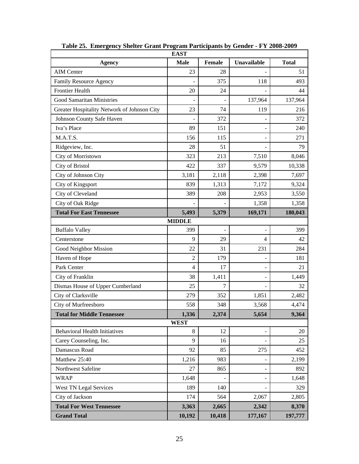|                                             | <b>EAST</b>    |        |                          |              |
|---------------------------------------------|----------------|--------|--------------------------|--------------|
| <b>Agency</b>                               | <b>Male</b>    | Female | Unavailable              | <b>Total</b> |
| <b>AIM Center</b>                           | 23             | 28     |                          | 51           |
| Family Resource Agency                      |                | 375    | 118                      | 493          |
| <b>Frontier Health</b>                      | 20             | 24     |                          | 44           |
| <b>Good Samaritan Ministries</b>            |                |        | 137,964                  | 137,964      |
| Greater Hospitality Network of Johnson City | 23             | 74     | 119                      | 216          |
| Johnson County Safe Haven                   |                | 372    |                          | 372          |
| Iva's Place                                 | 89             | 151    |                          | 240          |
| M.A.T.S.                                    | 156            | 115    |                          | 271          |
| Ridgeview, Inc.                             | 28             | 51     |                          | 79           |
| City of Morristown                          | 323            | 213    | 7,510                    | 8,046        |
| City of Bristol                             | 422            | 337    | 9,579                    | 10,338       |
| City of Johnson City                        | 3,181          | 2,118  | 2,398                    | 7,697        |
| City of Kingsport                           | 839            | 1,313  | 7,172                    | 9,324        |
| City of Cleveland                           | 389            | 208    | 2,953                    | 3,550        |
| City of Oak Ridge                           |                |        | 1,358                    | 1,358        |
| <b>Total For East Tennessee</b>             | 5,493          | 5,379  | 169,171                  | 180,043      |
|                                             | <b>MIDDLE</b>  |        |                          |              |
| <b>Buffalo Valley</b>                       | 399            |        |                          | 399          |
| Centerstone                                 | 9              | 29     | $\overline{4}$           | 42           |
| Good Neighbor Mission                       | 22             | 31     | 231                      | 284          |
| Haven of Hope                               | $\overline{2}$ | 179    |                          | 181          |
| Park Center                                 | 4              | 17     | $\overline{\phantom{a}}$ | 21           |
| City of Franklin                            | 38             | 1,411  |                          | 1,449        |
| Dismas House of Upper Cumberland            | 25             | 7      |                          | 32           |
| City of Clarksville                         | 279            | 352    | 1,851                    | 2,482        |
| City of Murfreesboro                        | 558            | 348    | 3,568                    | 4,474        |
| <b>Total for Middle Tennessee</b>           | 1,336          | 2,374  | 5,654                    | 9,364        |
|                                             | <b>WEST</b>    |        |                          |              |
| <b>Behavioral Health Initiatives</b>        | $\,8\,$        | 12     |                          | 20           |
| Carey Counseling, Inc.                      | 9              | 16     |                          | 25           |
| Damascus Road                               | 92             | 85     | 275                      | 452          |
| Matthew 25:40                               | 1,216          | 983    |                          | 2,199        |
| Northwest Safeline                          | 27             | 865    |                          | 892          |
| <b>WRAP</b>                                 | 1,648          |        |                          | 1,648        |
| West TN Legal Services                      | 189            | 140    |                          | 329          |
| City of Jackson                             | 174            | 564    | 2,067                    | 2,805        |
| <b>Total For West Tennessee</b>             | 3,363          | 2,665  | 2,342                    | 8,370        |
| <b>Grand Total</b>                          | 10,192         | 10,418 | 177,167                  | 197,777      |

**Table 25. Emergency Shelter Grant Program Participants by Gender - FY 2008-2009**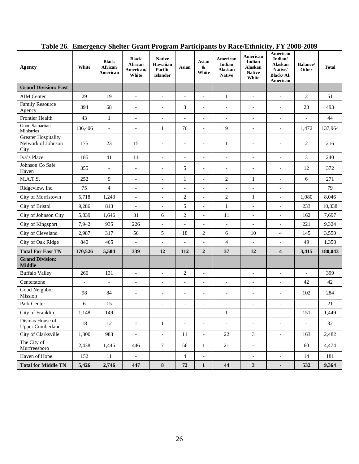| Agency                                                   | White                    | <b>Black</b><br>African<br>American | <b>Black</b><br>African<br>American/<br>White | <b>Native</b><br>Hawaiian<br>Pacific<br><b>Islander</b> | Asian                    | Asian<br>$\boldsymbol{\&}$<br>White | American<br>Indian<br>Alaskan<br><b>Native</b> | American<br>Indian<br><b>Alaskan</b><br><b>Native</b><br>White | American<br>Indian/<br><b>Alaskan</b><br>Native/<br>Black/Af.<br>American | <b>Balance</b> /<br>Other | <b>Total</b> |
|----------------------------------------------------------|--------------------------|-------------------------------------|-----------------------------------------------|---------------------------------------------------------|--------------------------|-------------------------------------|------------------------------------------------|----------------------------------------------------------------|---------------------------------------------------------------------------|---------------------------|--------------|
| <b>Grand Division: East</b>                              |                          |                                     |                                               |                                                         |                          |                                     |                                                |                                                                |                                                                           |                           |              |
| <b>AIM Center</b>                                        | 29                       | 19                                  | $\overline{a}$                                | $\overline{a}$                                          | $\overline{a}$           | $\blacksquare$                      | $\mathbf{1}$                                   | $\overline{a}$                                                 | $\overline{a}$                                                            | $\overline{2}$            | 51           |
| <b>Family Resource</b><br>Agency                         | 394                      | 68                                  | $\overline{\phantom{a}}$                      | $\overline{\phantom{a}}$                                | 3                        | $\overline{\phantom{a}}$            | $\overline{\phantom{a}}$                       | $\overline{\phantom{a}}$                                       | $\overline{\phantom{a}}$                                                  | 28                        | 493          |
| <b>Frontier Health</b>                                   | 43                       | $\mathbf{1}$                        | $\overline{a}$                                | $\overline{a}$                                          | $\overline{a}$           | $\overline{\phantom{a}}$            | $\overline{\phantom{a}}$                       | $\overline{a}$                                                 | $\overline{a}$                                                            | $\overline{a}$            | 44           |
| Good Samaritan<br>Ministries                             | 136,406                  | $\overline{a}$                      | $\overline{\phantom{a}}$                      | 1                                                       | 76                       | $\blacksquare$                      | 9                                              | $\overline{\phantom{a}}$                                       | $\overline{\phantom{a}}$                                                  | 1,472                     | 137,964      |
| <b>Greater Hospitality</b><br>Network of Johnson<br>City | 175                      | 23                                  | 15                                            | $\overline{a}$                                          | $\overline{a}$           | $\overline{\phantom{a}}$            | $\mathbf{1}$                                   |                                                                |                                                                           | 2                         | 216          |
| Iva's Place                                              | 185                      | 41                                  | 11                                            | $\overline{\phantom{a}}$                                | $\frac{1}{2}$            | $\overline{\phantom{a}}$            | $\overline{\phantom{a}}$                       | $\overline{\phantom{a}}$                                       | $\overline{a}$                                                            | $\mathfrak{Z}$            | 240          |
| Johnson Co Safe<br>Haven                                 | 355                      | $\overline{a}$                      | $\overline{a}$                                | $\overline{a}$                                          | 5                        | $\overline{\phantom{a}}$            | $\overline{a}$                                 | $\overline{\phantom{a}}$                                       | $\overline{a}$                                                            | 12                        | 372          |
| M.A.T.S.                                                 | 252                      | 9                                   | $\overline{a}$                                | $\overline{a}$                                          | $\mathbf{1}$             |                                     | $\overline{c}$                                 | $\mathbf{1}$                                                   | $\overline{a}$                                                            | 6                         | 271          |
| Ridgeview, Inc.                                          | 75                       | $\overline{4}$                      | $\overline{a}$                                | $\overline{a}$                                          | $\overline{a}$           | $\overline{\phantom{a}}$            | $\overline{\phantom{a}}$                       | $\overline{a}$                                                 | $\overline{a}$                                                            |                           | 79           |
| City of Morristown                                       | 5,718                    | 1,243                               | $\overline{a}$                                | $\overline{a}$                                          | $\sqrt{2}$               | $\overline{\phantom{a}}$            | $\boldsymbol{2}$                               | $\mathbf{1}$                                                   | $\overline{a}$                                                            | 1,080                     | 8,046        |
| <b>City of Bristol</b>                                   | 9,286                    | 813                                 | $\overline{\phantom{a}}$                      | $\overline{a}$                                          | 5                        | $\overline{\phantom{a}}$            | $\mathbf{1}$                                   | $\overline{a}$                                                 | $\overline{a}$                                                            | 233                       | 10,338       |
| City of Johnson City                                     | 5,839                    | 1,646                               | 31                                            | 6                                                       | $\sqrt{2}$               | $\overline{a}$                      | 11                                             | $\overline{a}$                                                 | $\overline{a}$                                                            | 162                       | 7,697        |
| City of Kingsport                                        | 7,942                    | 935                                 | 226                                           | $\bar{\phantom{a}}$                                     | $\frac{1}{2}$            | $\overline{a}$                      | $\mathcal{L}$                                  | $\overline{a}$                                                 | $\overline{a}$                                                            | 221                       | 9,324        |
| City of Cleveland                                        | 2,987                    | 317                                 | 56                                            | 5                                                       | 18                       | $\overline{c}$                      | 6                                              | 10                                                             | 4                                                                         | 145                       | 3,550        |
| City of Oak Ridge                                        | 840                      | 465                                 | $\blacksquare$                                |                                                         |                          |                                     | 4                                              | $\overline{a}$                                                 |                                                                           | 49                        | 1,358        |
| <b>Total For East TN</b>                                 | 170,526                  | 5,584                               | 339                                           | 12                                                      | 112                      | $\overline{2}$                      | 37                                             | 12                                                             | 4                                                                         | 3,415                     | 180,043      |
| <b>Grand Division:</b><br><b>Middle</b>                  |                          |                                     |                                               |                                                         |                          |                                     |                                                |                                                                |                                                                           |                           |              |
| <b>Buffalo Valley</b>                                    | 266                      | 131                                 | $\overline{a}$                                | $\overline{\phantom{a}}$                                | $\sqrt{2}$               | $\blacksquare$                      |                                                | $\overline{a}$                                                 | $\overline{a}$                                                            | $\overline{a}$            | 399          |
| Centerstone                                              | $\overline{\phantom{a}}$ | $\overline{\phantom{0}}$            | $\overline{a}$                                | $\overline{\phantom{a}}$                                | $\overline{\phantom{a}}$ | $\overline{\phantom{a}}$            | $\overline{\phantom{a}}$                       | $\overline{a}$                                                 | $\overline{a}$                                                            | 42                        | 42           |
| Good Neighbor<br>Mission                                 | 98                       | 84                                  | $\overline{a}$                                | ÷,                                                      | $\overline{a}$           | $\overline{\phantom{a}}$            | $\overline{a}$                                 | $\overline{a}$                                                 | $\overline{\phantom{a}}$                                                  | 102                       | 284          |
| Park Center                                              | 6                        | 15                                  |                                               | $\overline{a}$                                          | $\overline{\phantom{a}}$ | $\overline{\phantom{a}}$            | $\overline{\phantom{0}}$                       | $\overline{a}$                                                 | $\overline{a}$                                                            | $\overline{\phantom{0}}$  | 21           |
| City of Franklin                                         | 1,148                    | 149                                 |                                               |                                                         |                          |                                     | $\mathbf{1}$                                   |                                                                |                                                                           | 151                       | 1,449        |
| Dismas House of<br><b>Upper Cumberland</b>               | 18                       | 12                                  | $\mathbf{1}$                                  | $\mathbf{1}$                                            | $\overline{\phantom{a}}$ | $\overline{\phantom{a}}$            | $\overline{\phantom{a}}$                       | $\overline{\phantom{a}}$                                       | $\overline{\phantom{a}}$                                                  | $\overline{a}$            | 32           |
| City of Clarksville                                      | 1,300                    | 983                                 | $\overline{\phantom{a}}$                      | $\blacksquare$                                          | 11                       | $\overline{\phantom{a}}$            | 22                                             | 3                                                              | $\overline{\phantom{a}}$                                                  | 163                       | 2,482        |
| The City of<br>Murfreesboro                              | 2,438                    | 1,445                               | 446                                           | $\boldsymbol{7}$                                        | 56                       | $\mathbf{1}$                        | 21                                             | $\blacksquare$                                                 |                                                                           | 60                        | 4,474        |
| Haven of Hope                                            | 152                      | 11                                  | $\blacksquare$                                |                                                         | $\overline{4}$           | $\overline{\phantom{a}}$            |                                                | $\blacksquare$                                                 | $\blacksquare$                                                            | 14                        | 181          |
| <b>Total for Middle TN</b>                               | 5,426                    | 2,746                               | 447                                           | ${\bf 8}$                                               | 72                       | $\mathbf{1}$                        | 44                                             | $\mathbf{3}$                                                   |                                                                           | 532                       | 9,364        |

# **Table 26. Emergency Shelter Grant Program Participants by Race/Ethnicity, FY 2008-2009**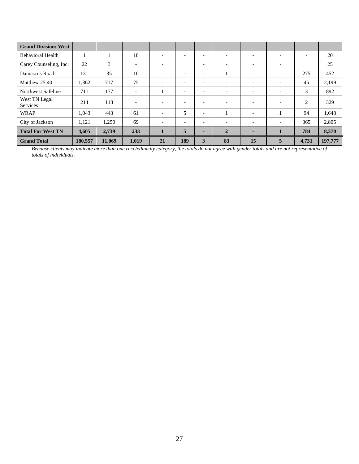| <b>Grand Division: West</b> |         |        |                          |                          |                          |                          |                          |                          |                          |                          |         |
|-----------------------------|---------|--------|--------------------------|--------------------------|--------------------------|--------------------------|--------------------------|--------------------------|--------------------------|--------------------------|---------|
| <b>Behavioral Health</b>    |         |        | 18                       | $\overline{\phantom{a}}$ | $\overline{\phantom{0}}$ | $\overline{\phantom{0}}$ | $\overline{\phantom{0}}$ | $\overline{\phantom{0}}$ | $\overline{\phantom{0}}$ | $\overline{\phantom{0}}$ | 20      |
| Carey Counseling, Inc.      | 22      | 3      | $\overline{\phantom{a}}$ | $\overline{\phantom{a}}$ |                          | $\overline{\phantom{0}}$ | $\overline{\phantom{0}}$ | $\overline{\phantom{a}}$ | $\overline{\phantom{a}}$ |                          | 25      |
| Damascus Road               | 131     | 35     | 10                       | $\overline{\phantom{0}}$ | $\overline{\phantom{a}}$ | $\overline{\phantom{0}}$ |                          | $\overline{\phantom{a}}$ | $\overline{\phantom{0}}$ | 275                      | 452     |
| Matthew 25:40               | 1,362   | 717    | 75                       | $\overline{\phantom{a}}$ | $\overline{\phantom{a}}$ | $\overline{\phantom{0}}$ | $\overline{\phantom{a}}$ | $\overline{\phantom{a}}$ | $\overline{\phantom{a}}$ | 45                       | 2,199   |
| Northwest Safeline          | 711     | 177    | $\overline{\phantom{a}}$ |                          | $\overline{\phantom{a}}$ | $\overline{\phantom{a}}$ | $\overline{\phantom{a}}$ | $\overline{\phantom{a}}$ | $\overline{\phantom{a}}$ | 3                        | 892     |
| West TN Legal<br>Services   | 214     | 113    | $\overline{\phantom{0}}$ | $\overline{\phantom{a}}$ | $\overline{\phantom{a}}$ | $\overline{\phantom{0}}$ | $\overline{\phantom{a}}$ | $\overline{\phantom{0}}$ | $\overline{\phantom{0}}$ | 2                        | 329     |
| <b>WRAP</b>                 | 1,043   | 443    | 61                       | $\overline{\phantom{a}}$ | 5                        | $\overline{\phantom{0}}$ |                          | $\overline{\phantom{a}}$ |                          | 94                       | 1,648   |
| City of Jackson             | 1,121   | 1,250  | 69                       | $\overline{\phantom{a}}$ | $\overline{\phantom{a}}$ | $\overline{\phantom{0}}$ | $\overline{\phantom{0}}$ | $\overline{\phantom{a}}$ | $\overline{\phantom{0}}$ | 365                      | 2,805   |
| <b>Total For West TN</b>    | 4,605   | 2,739  | 233                      | $\mathbf{1}$             | 5                        |                          | $\overline{2}$           | ۰                        |                          | 784                      | 8,370   |
| <b>Grand Total</b>          | 180,557 | 11,069 | 1,019                    | 21                       | 189                      | 3                        | 83                       | 15                       | 5                        | 4,731                    | 197,777 |

*Because clients may indicate more than one race/ethnicity category, the totals do not agree with gender totals and are not representative of totals of individuals.*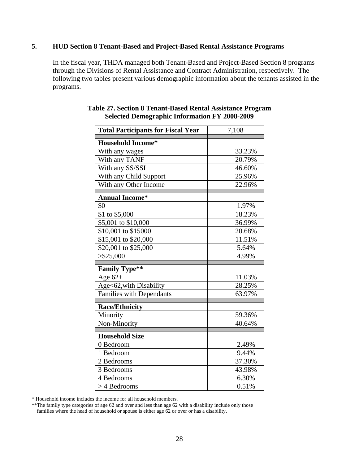## **5. HUD Section 8 Tenant-Based and Project-Based Rental Assistance Programs**

In the fiscal year, THDA managed both Tenant-Based and Project-Based Section 8 programs through the Divisions of Rental Assistance and Contract Administration, respectively. The following two tables present various demographic information about the tenants assisted in the programs.

| <b>Total Participants for Fiscal Year</b> | 7,108  |  |  |  |
|-------------------------------------------|--------|--|--|--|
| <b>Household Income*</b>                  |        |  |  |  |
| With any wages                            | 33.23% |  |  |  |
| With any TANF                             | 20.79% |  |  |  |
| With any SS/SSI                           | 46.60% |  |  |  |
| With any Child Support                    | 25.96% |  |  |  |
| With any Other Income                     | 22.96% |  |  |  |
| <b>Annual Income*</b>                     |        |  |  |  |
| \$0                                       | 1.97%  |  |  |  |
| \$1 to \$5,000                            | 18.23% |  |  |  |
| \$5,001 to \$10,000                       | 36.99% |  |  |  |
| \$10,001 to \$15000                       | 20.68% |  |  |  |
| \$15,001 to \$20,000                      | 11.51% |  |  |  |
| \$20,001 to \$25,000                      | 5.64%  |  |  |  |
| > \$25,000                                | 4.99%  |  |  |  |
| <b>Family Type**</b>                      |        |  |  |  |
| Age $62+$                                 | 11.03% |  |  |  |
| Age<62, with Disability                   | 28.25% |  |  |  |
| <b>Families with Dependants</b>           | 63.97% |  |  |  |
| <b>Race/Ethnicity</b>                     |        |  |  |  |
| Minority                                  | 59.36% |  |  |  |
| Non-Minority                              | 40.64% |  |  |  |
| <b>Household Size</b>                     |        |  |  |  |
| 0 Bedroom                                 | 2.49%  |  |  |  |
| 1 Bedroom                                 | 9.44%  |  |  |  |
| 2 Bedrooms                                | 37.30% |  |  |  |
| 3 Bedrooms                                | 43.98% |  |  |  |
| 4 Bedrooms                                | 6.30%  |  |  |  |
| > 4 Bedrooms                              | 0.51%  |  |  |  |

#### **Table 27. Section 8 Tenant-Based Rental Assistance Program Selected Demographic Information FY 2008-2009**

\* Household income includes the income for all household members.

\*\*The family type categories of age 62 and over and less than age 62 with a disability include only those families where the head of household or spouse is either age 62 or over or has a disability.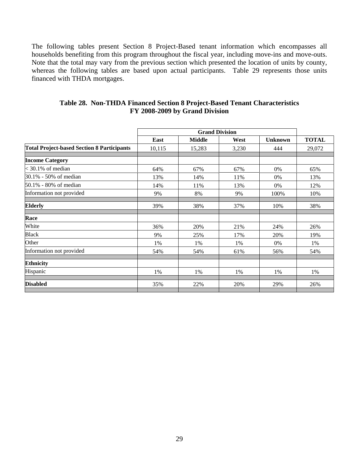The following tables present Section 8 Project-Based tenant information which encompasses all households benefiting from this program throughout the fiscal year, including move-ins and move-outs. Note that the total may vary from the previous section which presented the location of units by county, whereas the following tables are based upon actual participants. Table 29 represents those units financed with THDA mortgages.

|                                                   |        | <b>Grand Division</b> |       |                |              |
|---------------------------------------------------|--------|-----------------------|-------|----------------|--------------|
|                                                   | East   | <b>Middle</b>         | West  | <b>Unknown</b> | <b>TOTAL</b> |
| <b>Total Project-based Section 8 Participants</b> | 10,115 | 15,283                | 3,230 | 444            | 29,072       |
| <b>Income Category</b>                            |        |                       |       |                |              |
| $<$ 30.1% of median                               | 64%    | 67%                   | 67%   | 0%             | 65%          |
| 30.1% - 50% of median                             | 13%    | 14%                   | 11%   | 0%             | 13%          |
| 50.1% - 80% of median                             | 14%    | 11%                   | 13%   | 0%             | 12%          |
| Information not provided                          | 9%     | 8%                    | 9%    | 100%           | 10%          |
| <b>Elderly</b>                                    | 39%    | 38%                   | 37%   | 10%            | 38%          |
| Race                                              |        |                       |       |                |              |
| White                                             | 36%    | 20%                   | 21%   | 24%            | 26%          |
| <b>Black</b>                                      | 9%     | 25%                   | 17%   | 20%            | 19%          |
| Other                                             | 1%     | 1%                    | 1%    | 0%             | 1%           |
| Information not provided                          | 54%    | 54%                   | 61%   | 56%            | 54%          |
| <b>Ethnicity</b>                                  |        |                       |       |                |              |
| Hispanic                                          | 1%     | 1%                    | 1%    | 1%             | 1%           |
| <b>Disabled</b>                                   | 35%    | 22%                   | 20%   | 29%            | 26%          |

#### **Table 28. Non-THDA Financed Section 8 Project-Based Tenant Characteristics FY 2008-2009 by Grand Division**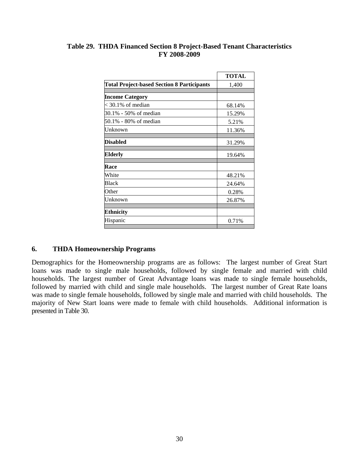|                                                   | <b>TOTAL</b> |
|---------------------------------------------------|--------------|
| <b>Total Project-based Section 8 Participants</b> | 1,400        |
|                                                   |              |
| <b>Income Category</b>                            |              |
| $\approx$ 30.1% of median                         | 68.14%       |
| 30.1% - 50% of median                             | 15.29%       |
| 50.1% - 80% of median                             | 5.21%        |
| Unknown                                           | 11.36%       |
|                                                   |              |
| <b>Disabled</b>                                   | 31.29%       |
| Elderly                                           | 19.64%       |
| Race                                              |              |
| White                                             | 48.21%       |
| Black                                             | 24.64%       |
| Other                                             | 0.28%        |
| Unknown                                           | 26.87%       |
| <b>Ethnicity</b>                                  |              |
|                                                   |              |
| Hispanic                                          | 0.71%        |

## **Table 29. THDA Financed Section 8 Project-Based Tenant Characteristics FY 2008-2009**

## **6. THDA Homeownership Programs**

Demographics for the Homeownership programs are as follows: The largest number of Great Start loans was made to single male households, followed by single female and married with child households. The largest number of Great Advantage loans was made to single female households, followed by married with child and single male households. The largest number of Great Rate loans was made to single female households, followed by single male and married with child households. The majority of New Start loans were made to female with child households. Additional information is presented in Table 30.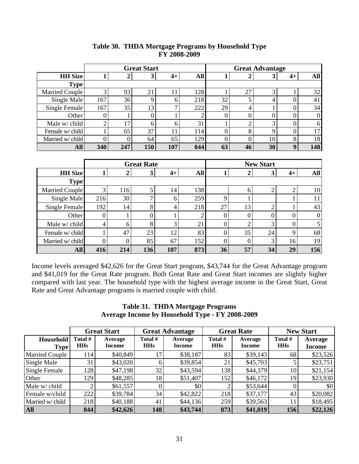|                  | <b>Great Start</b> |     |     |     | <b>Great Advantage</b> |    |    |    |    |          |
|------------------|--------------------|-----|-----|-----|------------------------|----|----|----|----|----------|
| <b>HH Size</b>   |                    |     | 3   | 4+  | All                    |    |    |    | 4+ | All      |
| <b>Type</b>      |                    |     |     |     |                        |    |    |    |    |          |
| Married Couple   |                    | 93  | 21  |     | 128                    |    | 27 |    |    | 32       |
| Single Male      | 167                | 36  | 9   | O   | 218                    | 32 |    |    |    | 41       |
| Single Female    | 167                | 35  | 13  | −   | 222                    | 29 | 4  |    |    | 34       |
| Other            | U.                 |     |     |     |                        |    |    |    |    | $\Omega$ |
| Male w/ child    |                    | 17  | 6   | 6   | 31                     |    |    |    |    | 6        |
| Female w/child   |                    | 65  | 37  | 11  | 114                    |    | 8  |    |    | 17       |
| Married w/ child |                    | 0   | 64  | 65  | 129                    |    |    | 10 | 8  | 18       |
| <b>All</b>       | 340                | 247 | 150 | 107 | 844                    | 63 | 46 | 30 |    | 148      |

## **Table 30. THDA Mortgage Programs by Household Type FY 2008-2009**

|                  | <b>Great Rate</b> |     |     |      |     | <b>New Start</b> |    |    |      |              |
|------------------|-------------------|-----|-----|------|-----|------------------|----|----|------|--------------|
| <b>HH</b> Size   |                   |     | 3   | $4+$ | All |                  |    | 3  | $4+$ | All          |
| <b>Type</b>      |                   |     |     |      |     |                  |    |    |      |              |
| Married Couple   | 3                 | 116 |     | 14   | 138 |                  | h  |    | ⌒    | 10           |
| Single Male      | 216               | 30  |     | 6    | 259 |                  |    |    |      |              |
| Single Female    | 192               | 14  | 8   | 4    | 218 | 27               | 13 | ◠  |      | 43           |
| Other            | 0                 |     |     |      |     |                  |    | 0  |      | $\mathbf{0}$ |
| Male w/ child    | 4                 | 6   | 8   | 3    | 21  |                  |    | 3  | 0    |              |
| Female w/child   |                   | 47  | 23  | 12   | 83  |                  | 35 | 24 | 9    | 68           |
| Married w/ child |                   |     | 85  | 67   | 152 |                  |    | 3  | 16   | 19           |
| All              | 416               | 214 | 136 | 107  | 873 | 36               | 57 | 34 | 29   | 156          |

Income levels averaged \$42,626 for the Great Start program, \$43,744 for the Great Advantage program and \$41,019 for the Great Rate program. Both Great Rate and Great Start incomes are slightly higher compared with last year. The household type with the highest average income in the Great Start, Great Rate and Great Advantage programs is married couple with child.

#### **Table 31. THDA Mortgage Programs Average Income by Household Type - FY 2008-2009**

|                          | <b>Great Start</b>    |                   |                       | <b>Great Advantage</b>   |                       | <b>Great Rate</b>        | <b>New Start</b>      |                          |  |
|--------------------------|-----------------------|-------------------|-----------------------|--------------------------|-----------------------|--------------------------|-----------------------|--------------------------|--|
| Household<br><b>Type</b> | Total #<br><b>HHs</b> | Average<br>Income | Total #<br><b>HHs</b> | Average<br><b>Income</b> | Total #<br><b>HHs</b> | Average<br><b>Income</b> | Total #<br><b>HHs</b> | Average<br><b>Income</b> |  |
| <b>Married Couple</b>    | 114                   | \$40,849          | 17                    | \$38,187                 | 83                    | \$39,143                 | 68                    | \$23,526                 |  |
| Single Male              | 31                    | \$43,020          | 6                     | \$39,854                 | 21                    | \$45,703                 |                       | \$23,751                 |  |
| Single Female            | 128                   | \$47,198          | 32                    | \$43,594                 | 138                   | \$44,379                 | 10                    | \$21,154                 |  |
| Other                    | 1291                  | \$48,285          | 18                    | \$51,407                 | 152                   | \$46,172                 | 19                    | \$23,930                 |  |
| Male w/ child            | 2 <sub>1</sub>        | \$61,557          |                       | \$0                      |                       | \$53,644                 |                       | \$0                      |  |
| Female w/child           | 222                   | \$39,784          | 34                    | \$42,822                 | 218                   | \$37,177                 | 43                    | \$20,082                 |  |
| Married w/ child         | 218                   | \$40,188          | 41                    | \$44,136                 | 259                   | \$39,563                 |                       | \$18,495                 |  |
| <b>All</b>               | 844                   | \$42,626          | 148                   | \$43,744                 | 873                   | \$41,019                 | 156                   | \$22,126                 |  |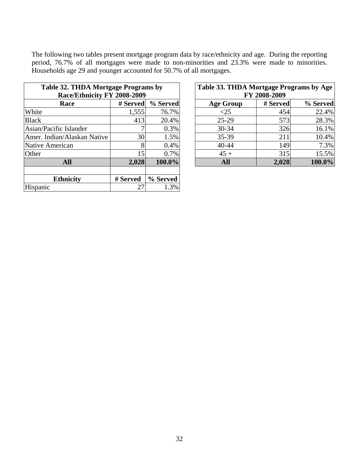The following two tables present mortgage program data by race/ethnicity and age. During the reporting period, 76.7% of all mortgages were made to non-minorities and 23.3% were made to minorities. Households age 29 and younger accounted for 50.7% of all mortgages.

| Table 32. THDA Mortgage Programs by<br>Race/Ethnicity FY 2008-2009 |          | Table 33. THDA Mortgage Programs by Age<br>FY 2008-2009 |                  |          |          |
|--------------------------------------------------------------------|----------|---------------------------------------------------------|------------------|----------|----------|
| Race                                                               | # Served | % Served                                                | <b>Age Group</b> | # Served | % Served |
| White                                                              | 1,555    | 76.7%                                                   | $\leq$ 25        | 454      | 22.4%    |
| <b>Black</b>                                                       | 413      | 20.4%                                                   | $25-29$          | 573      | 28.3%    |
| Asian/Pacific Islander                                             |          | 0.3%                                                    | $30 - 34$        | 326      | 16.1%    |
| Amer. Indian/Alaskan Native                                        | 30       | 1.5%                                                    | $35 - 39$        | 211      | 10.4%    |
| Native American                                                    | 8        | 0.4%                                                    | $40 - 44$        | 149      | 7.3%     |
| Other                                                              | 15       | 0.7%                                                    | $45 +$           | 315      | 15.5%    |
| <b>All</b>                                                         | 2,028    | 100.0%                                                  | <b>All</b>       | 2,028    | 100.0%   |
| <b>Ethnicity</b>                                                   | # Served | % Served                                                |                  |          |          |
| Hispanic                                                           | 27       | 1.3%                                                    |                  |          |          |

| 32. THDA Mortgage Programs by |                 |          |  | Table 33. THDA Mortgage Programs by Age  |       |           |  |  |  |
|-------------------------------|-----------------|----------|--|------------------------------------------|-------|-----------|--|--|--|
| Race/Ethnicity FY 2008-2009   |                 |          |  | FY 2008-2009                             |       |           |  |  |  |
| <b>Race</b>                   | # Served        | % Served |  | % Served<br># Served<br><b>Age Group</b> |       |           |  |  |  |
|                               | 1,555           | 76.7%    |  | $<$ 25                                   | 454   | 22.4%     |  |  |  |
|                               | 413             | 20.4%    |  | $25-29$                                  | 573   | 28.3%     |  |  |  |
| c Islander                    | ⇁               | 0.3%     |  | $30 - 34$                                | 326   | 16.1%     |  |  |  |
| n/Alaskan Native              | 30              | 1.5%     |  | 35-39                                    | 211   | 10.4%     |  |  |  |
| rican                         | 8               | 0.4%     |  | $40 - 44$                                | 149   | 7.3%      |  |  |  |
|                               | 15 <sub>l</sub> | 0.7%     |  | $45 +$                                   | 315   | 15.5%     |  |  |  |
| <b>All</b>                    | 2,028           | 100.0%   |  | <b>All</b>                               | 2,028 | $100.0\%$ |  |  |  |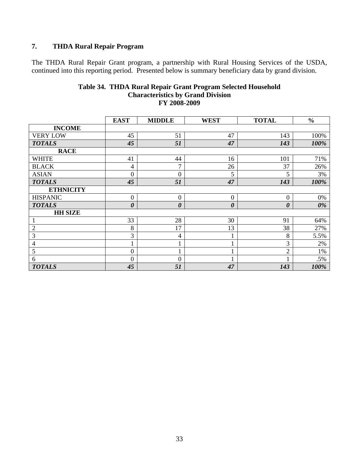# **7. THDA Rural Repair Program**

The THDA Rural Repair Grant program, a partnership with Rural Housing Services of the USDA, continued into this reporting period. Presented below is summary beneficiary data by grand division.

|                  | <b>EAST</b>           | <b>MIDDLE</b>  | <b>WEST</b>           | <b>TOTAL</b>          | $\frac{0}{0}$ |
|------------------|-----------------------|----------------|-----------------------|-----------------------|---------------|
| <b>INCOME</b>    |                       |                |                       |                       |               |
| <b>VERY LOW</b>  | 45                    | 51             | 47                    | 143                   | 100%          |
| <b>TOTALS</b>    | 45                    | 51             | 47                    | 143                   | 100%          |
| <b>RACE</b>      |                       |                |                       |                       |               |
| <b>WHITE</b>     | 41                    | 44             | 16                    | 101                   | 71%           |
| <b>BLACK</b>     | 4                     | 7              | 26                    | 37                    | 26%           |
| <b>ASIAN</b>     | $\overline{0}$        | $\theta$       | 5                     | 5                     | 3%            |
| <b>TOTALS</b>    | 45                    | 51             | 47                    | 143                   | 100%          |
| <b>ETHNICITY</b> |                       |                |                       |                       |               |
| <b>HISPANIC</b>  | $\overline{0}$        | $\theta$       | $\overline{0}$        | $\boldsymbol{0}$      | 0%            |
| <b>TOTALS</b>    | $\boldsymbol{\theta}$ | 0              | $\boldsymbol{\theta}$ | $\boldsymbol{\theta}$ | 0%            |
| <b>HH SIZE</b>   |                       |                |                       |                       |               |
| 1                | 33                    | 28             | 30                    | 91                    | 64%           |
| $\overline{2}$   | 8                     | 17             | 13                    | 38                    | 27%           |
| 3                | 3                     | 4              | 1                     | 8                     | 5.5%          |
| $\overline{4}$   |                       |                | 1                     | 3                     | 2%            |
| 5                | $\overline{0}$        |                |                       | $\overline{c}$        | 1%            |
| 6                | $\overline{0}$        | $\overline{0}$ |                       |                       | .5%           |
| <b>TOTALS</b>    | 45                    | 51             | 47                    | 143                   | 100%          |

#### **Table 34. THDA Rural Repair Grant Program Selected Household Characteristics by Grand Division FY 2008-2009**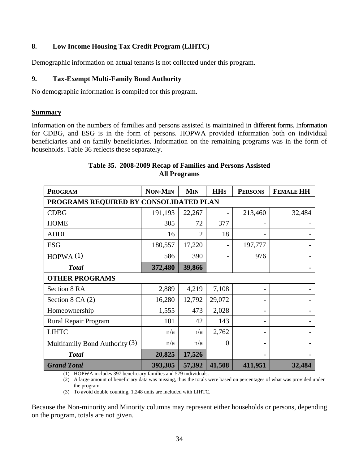## **8. Low Income Housing Tax Credit Program (LIHTC)**

Demographic information on actual tenants is not collected under this program.

#### **9. Tax-Exempt Multi-Family Bond Authority**

No demographic information is compiled for this program.

#### **Summary**

Information on the numbers of families and persons assisted is maintained in different forms. Information for CDBG, and ESG is in the form of persons. HOPWA provided information both on individual beneficiaries and on family beneficiaries. Information on the remaining programs was in the form of households. Table 36 reflects these separately.

| <b>PROGRAM</b>                         | <b>NON-MIN</b> | <b>MIN</b>             | <b>HH<sub>S</sub></b> | <b>PERSONS</b> | <b>FEMALE HH</b> |
|----------------------------------------|----------------|------------------------|-----------------------|----------------|------------------|
| PROGRAMS REQUIRED BY CONSOLIDATED PLAN |                |                        |                       |                |                  |
| <b>CDBG</b>                            | 191,193        | 22,267                 |                       | 213,460        | 32,484           |
| <b>HOME</b>                            | 305            | 72                     | 377                   |                |                  |
| <b>ADDI</b>                            | 16             | 2                      | 18                    |                |                  |
| <b>ESG</b>                             | 180,557        | 17,220                 |                       | 197,777        |                  |
| HOPWA $(1)$                            | 586            | 390                    |                       | 976            |                  |
| <b>Total</b>                           | 372,480        | 39,866                 |                       |                |                  |
| <b>OTHER PROGRAMS</b>                  |                |                        |                       |                |                  |
| Section 8 RA                           | 2,889          | 4,219                  | 7,108                 |                |                  |
| Section $8$ CA $(2)$                   | 16,280         | 12,792                 | 29,072                |                |                  |
| Homeownership                          | 1,555          | 473                    | 2,028                 |                |                  |
| Rural Repair Program                   | 101            | 42                     | 143                   |                |                  |
| <b>LIHTC</b>                           | n/a            | n/a                    | 2,762                 |                |                  |
| Multifamily Bond Authority $(3)$       | n/a            | n/a                    | $\boldsymbol{0}$      |                |                  |
| <b>Total</b>                           | 20,825         | 17,526                 |                       |                |                  |
| <b>Grand Total</b><br>2071             | 393,305        | 57,392<br>1.570 : 1:11 | 41,508                | 411,951        | 32,484           |

## **Table 35. 2008-2009 Recap of Families and Persons Assisted All Programs**

(1) HOPWA includes 397 beneficiary families and 579 individuals.

(2) A large amount of beneficiary data was missing, thus the totals were based on percentages of what was provided under the program.

(3) To avoid double counting, 1,248 units are included with LIHTC.

Because the Non-minority and Minority columns may represent either households or persons, depending on the program, totals are not given.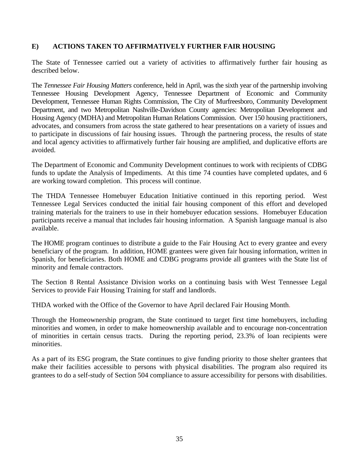## **E) ACTIONS TAKEN TO AFFIRMATIVELY FURTHER FAIR HOUSING**

The State of Tennessee carried out a variety of activities to affirmatively further fair housing as described below.

The *Tennessee Fair Housing Matters* conference, held in April, was the sixth year of the partnership involving Tennessee Housing Development Agency, Tennessee Department of Economic and Community Development, Tennessee Human Rights Commission, The City of Murfreesboro, Community Development Department, and two Metropolitan Nashville-Davidson County agencies: Metropolitan Development and Housing Agency (MDHA) and Metropolitan Human Relations Commission. Over 150 housing practitioners, advocates, and consumers from across the state gathered to hear presentations on a variety of issues and to participate in discussions of fair housing issues. Through the partnering process, the results of state and local agency activities to affirmatively further fair housing are amplified, and duplicative efforts are avoided.

The Department of Economic and Community Development continues to work with recipients of CDBG funds to update the Analysis of Impediments. At this time 74 counties have completed updates, and 6 are working toward completion. This process will continue.

The THDA Tennessee Homebuyer Education Initiative continued in this reporting period. West Tennessee Legal Services conducted the initial fair housing component of this effort and developed training materials for the trainers to use in their homebuyer education sessions. Homebuyer Education participants receive a manual that includes fair housing information. A Spanish language manual is also available.

The HOME program continues to distribute a guide to the Fair Housing Act to every grantee and every beneficiary of the program. In addition, HOME grantees were given fair housing information, written in Spanish, for beneficiaries. Both HOME and CDBG programs provide all grantees with the State list of minority and female contractors.

The Section 8 Rental Assistance Division works on a continuing basis with West Tennessee Legal Services to provide Fair Housing Training for staff and landlords.

THDA worked with the Office of the Governor to have April declared Fair Housing Month.

Through the Homeownership program, the State continued to target first time homebuyers, including minorities and women, in order to make homeownership available and to encourage non-concentration of minorities in certain census tracts. During the reporting period, 23.3% of loan recipients were minorities.

As a part of its ESG program, the State continues to give funding priority to those shelter grantees that make their facilities accessible to persons with physical disabilities. The program also required its grantees to do a self-study of Section 504 compliance to assure accessibility for persons with disabilities.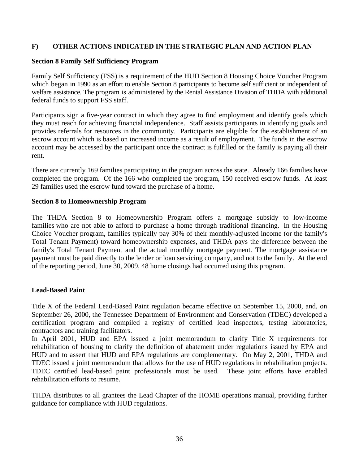## **F) OTHER ACTIONS INDICATED IN THE STRATEGIC PLAN AND ACTION PLAN**

## **Section 8 Family Self Sufficiency Program**

Family Self Sufficiency (FSS) is a requirement of the HUD Section 8 Housing Choice Voucher Program which began in 1990 as an effort to enable Section 8 participants to become self sufficient or independent of welfare assistance. The program is administered by the Rental Assistance Division of THDA with additional federal funds to support FSS staff.

Participants sign a five-year contract in which they agree to find employment and identify goals which they must reach for achieving financial independence. Staff assists participants in identifying goals and provides referrals for resources in the community. Participants are eligible for the establishment of an escrow account which is based on increased income as a result of employment. The funds in the escrow account may be accessed by the participant once the contract is fulfilled or the family is paying all their rent.

There are currently 169 families participating in the program across the state. Already 166 families have completed the program. Of the 166 who completed the program, 150 received escrow funds. At least 29 families used the escrow fund toward the purchase of a home.

#### **Section 8 to Homeownership Program**

The THDA Section 8 to Homeownership Program offers a mortgage subsidy to low-income families who are not able to afford to purchase a home through traditional financing. In the Housing Choice Voucher program, families typically pay 30% of their monthly-adjusted income (or the family's Total Tenant Payment) toward homeownership expenses, and THDA pays the difference between the family's Total Tenant Payment and the actual monthly mortgage payment. The mortgage assistance payment must be paid directly to the lender or loan servicing company, and not to the family. At the end of the reporting period, June 30, 2009, 48 home closings had occurred using this program.

## **Lead-Based Paint**

Title X of the Federal Lead-Based Paint regulation became effective on September 15, 2000, and, on September 26, 2000, the Tennessee Department of Environment and Conservation (TDEC) developed a certification program and compiled a registry of certified lead inspectors, testing laboratories, contractors and training facilitators.

In April 2001, HUD and EPA issued a joint memorandum to clarify Title X requirements for rehabilitation of housing to clarify the definition of abatement under regulations issued by EPA and HUD and to assert that HUD and EPA regulations are complementary. On May 2, 2001, THDA and TDEC issued a joint memorandum that allows for the use of HUD regulations in rehabilitation projects. TDEC certified lead-based paint professionals must be used. These joint efforts have enabled rehabilitation efforts to resume.

THDA distributes to all grantees the Lead Chapter of the HOME operations manual, providing further guidance for compliance with HUD regulations.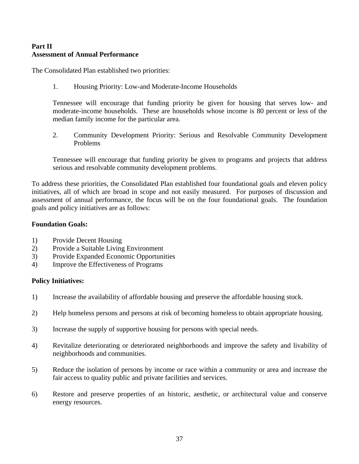## **Part II Assessment of Annual Performance**

The Consolidated Plan established two priorities:

1. Housing Priority: Low-and Moderate-Income Households

Tennessee will encourage that funding priority be given for housing that serves low- and moderate-income households. These are households whose income is 80 percent or less of the median family income for the particular area.

2. Community Development Priority: Serious and Resolvable Community Development Problems

Tennessee will encourage that funding priority be given to programs and projects that address serious and resolvable community development problems.

To address these priorities, the Consolidated Plan established four foundational goals and eleven policy initiatives, all of which are broad in scope and not easily measured. For purposes of discussion and assessment of annual performance, the focus will be on the four foundational goals. The foundation goals and policy initiatives are as follows:

#### **Foundation Goals:**

- 1) Provide Decent Housing
- 2) Provide a Suitable Living Environment
- 3) Provide Expanded Economic Opportunities
- 4) Improve the Effectiveness of Programs

#### **Policy Initiatives:**

- 1) Increase the availability of affordable housing and preserve the affordable housing stock.
- 2) Help homeless persons and persons at risk of becoming homeless to obtain appropriate housing.
- 3) Increase the supply of supportive housing for persons with special needs.
- 4) Revitalize deteriorating or deteriorated neighborhoods and improve the safety and livability of neighborhoods and communities.
- 5) Reduce the isolation of persons by income or race within a community or area and increase the fair access to quality public and private facilities and services.
- 6) Restore and preserve properties of an historic, aesthetic, or architectural value and conserve energy resources.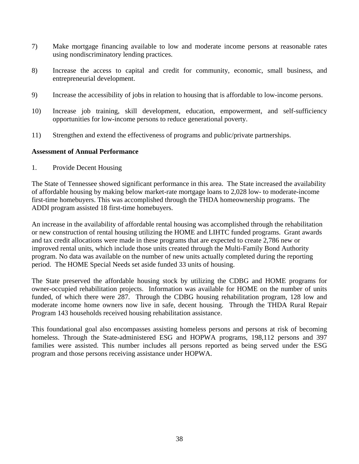- 7) Make mortgage financing available to low and moderate income persons at reasonable rates using nondiscriminatory lending practices.
- 8) Increase the access to capital and credit for community, economic, small business, and entrepreneurial development.
- 9) Increase the accessibility of jobs in relation to housing that is affordable to low-income persons.
- 10) Increase job training, skill development, education, empowerment, and self-sufficiency opportunities for low-income persons to reduce generational poverty.
- 11) Strengthen and extend the effectiveness of programs and public/private partnerships.

#### **Assessment of Annual Performance**

1. Provide Decent Housing

The State of Tennessee showed significant performance in this area. The State increased the availability of affordable housing by making below market-rate mortgage loans to 2,028 low- to moderate-income first-time homebuyers. This was accomplished through the THDA homeownership programs. The ADDI program assisted 18 first-time homebuyers.

An increase in the availability of affordable rental housing was accomplished through the rehabilitation or new construction of rental housing utilizing the HOME and LIHTC funded programs. Grant awards and tax credit allocations were made in these programs that are expected to create 2,786 new or improved rental units, which include those units created through the Multi-Family Bond Authority program. No data was available on the number of new units actually completed during the reporting period. The HOME Special Needs set aside funded 33 units of housing.

The State preserved the affordable housing stock by utilizing the CDBG and HOME programs for owner-occupied rehabilitation projects. Information was available for HOME on the number of units funded, of which there were 287. Through the CDBG housing rehabilitation program, 128 low and moderate income home owners now live in safe, decent housing. Through the THDA Rural Repair Program 143 households received housing rehabilitation assistance.

This foundational goal also encompasses assisting homeless persons and persons at risk of becoming homeless. Through the State-administered ESG and HOPWA programs, 198,112 persons and 397 families were assisted. This number includes all persons reported as being served under the ESG program and those persons receiving assistance under HOPWA.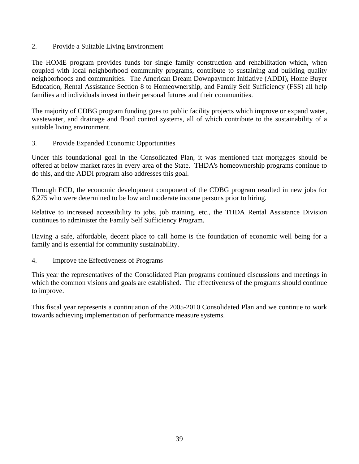2. Provide a Suitable Living Environment

The HOME program provides funds for single family construction and rehabilitation which, when coupled with local neighborhood community programs, contribute to sustaining and building quality neighborhoods and communities. The American Dream Downpayment Initiative (ADDI), Home Buyer Education, Rental Assistance Section 8 to Homeownership, and Family Self Sufficiency (FSS) all help families and individuals invest in their personal futures and their communities.

The majority of CDBG program funding goes to public facility projects which improve or expand water, wastewater, and drainage and flood control systems, all of which contribute to the sustainability of a suitable living environment.

3. Provide Expanded Economic Opportunities

Under this foundational goal in the Consolidated Plan, it was mentioned that mortgages should be offered at below market rates in every area of the State. THDA's homeownership programs continue to do this, and the ADDI program also addresses this goal.

Through ECD, the economic development component of the CDBG program resulted in new jobs for 6,275 who were determined to be low and moderate income persons prior to hiring.

Relative to increased accessibility to jobs, job training, etc., the THDA Rental Assistance Division continues to administer the Family Self Sufficiency Program.

Having a safe, affordable, decent place to call home is the foundation of economic well being for a family and is essential for community sustainability.

4. Improve the Effectiveness of Programs

This year the representatives of the Consolidated Plan programs continued discussions and meetings in which the common visions and goals are established. The effectiveness of the programs should continue to improve.

This fiscal year represents a continuation of the 2005-2010 Consolidated Plan and we continue to work towards achieving implementation of performance measure systems.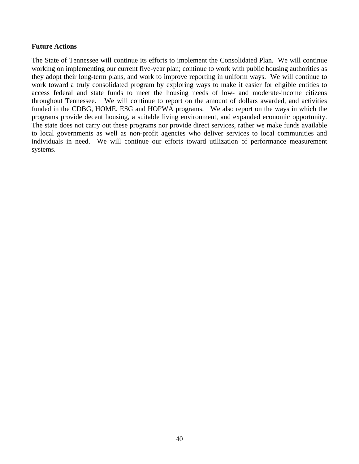#### **Future Actions**

The State of Tennessee will continue its efforts to implement the Consolidated Plan. We will continue working on implementing our current five-year plan; continue to work with public housing authorities as they adopt their long-term plans, and work to improve reporting in uniform ways. We will continue to work toward a truly consolidated program by exploring ways to make it easier for eligible entities to access federal and state funds to meet the housing needs of low- and moderate-income citizens throughout Tennessee. We will continue to report on the amount of dollars awarded, and activities funded in the CDBG, HOME, ESG and HOPWA programs. We also report on the ways in which the programs provide decent housing, a suitable living environment, and expanded economic opportunity. The state does not carry out these programs nor provide direct services, rather we make funds available to local governments as well as non-profit agencies who deliver services to local communities and individuals in need. We will continue our efforts toward utilization of performance measurement systems.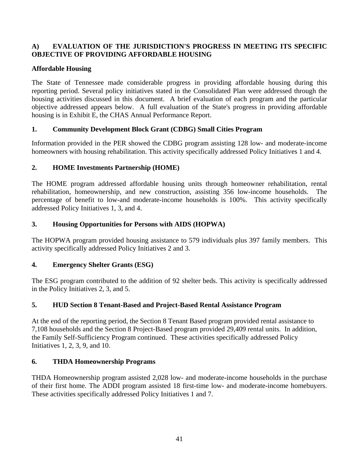## **A) EVALUATION OF THE JURISDICTION'S PROGRESS IN MEETING ITS SPECIFIC OBJECTIVE OF PROVIDING AFFORDABLE HOUSING**

## **Affordable Housing**

The State of Tennessee made considerable progress in providing affordable housing during this reporting period. Several policy initiatives stated in the Consolidated Plan were addressed through the housing activities discussed in this document. A brief evaluation of each program and the particular objective addressed appears below. A full evaluation of the State's progress in providing affordable housing is in Exhibit E, the CHAS Annual Performance Report.

## **1. Community Development Block Grant (CDBG) Small Cities Program**

Information provided in the PER showed the CDBG program assisting 128 low- and moderate-income homeowners with housing rehabilitation. This activity specifically addressed Policy Initiatives 1 and 4.

## **2. HOME Investments Partnership (HOME)**

The HOME program addressed affordable housing units through homeowner rehabilitation, rental rehabilitation, homeownership, and new construction, assisting 356 low-income households. The percentage of benefit to low-and moderate-income households is 100%. This activity specifically addressed Policy Initiatives 1, 3, and 4.

## **3. Housing Opportunities for Persons with AIDS (HOPWA)**

The HOPWA program provided housing assistance to 579 individuals plus 397 family members. This activity specifically addressed Policy Initiatives 2 and 3.

## **4. Emergency Shelter Grants (ESG)**

The ESG program contributed to the addition of 92 shelter beds. This activity is specifically addressed in the Policy Initiatives 2, 3, and 5.

## **5. HUD Section 8 Tenant-Based and Project-Based Rental Assistance Program**

At the end of the reporting period, the Section 8 Tenant Based program provided rental assistance to 7,108 households and the Section 8 Project-Based program provided 29,409 rental units. In addition, the Family Self-Sufficiency Program continued. These activities specifically addressed Policy Initiatives 1, 2, 3, 9, and 10.

## **6. THDA Homeownership Programs**

THDA Homeownership program assisted 2,028 low- and moderate-income households in the purchase of their first home. The ADDI program assisted 18 first-time low- and moderate-income homebuyers. These activities specifically addressed Policy Initiatives 1 and 7.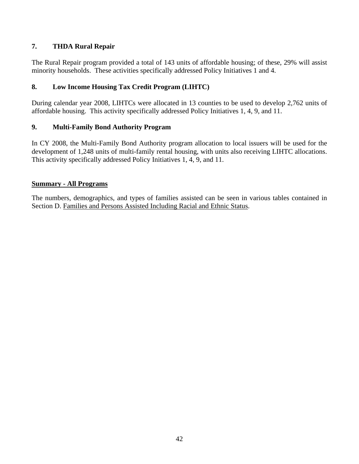## **7. THDA Rural Repair**

The Rural Repair program provided a total of 143 units of affordable housing; of these, 29% will assist minority households. These activities specifically addressed Policy Initiatives 1 and 4.

## **8. Low Income Housing Tax Credit Program (LIHTC)**

During calendar year 2008, LIHTCs were allocated in 13 counties to be used to develop 2,762 units of affordable housing. This activity specifically addressed Policy Initiatives 1, 4, 9, and 11.

## **9. Multi-Family Bond Authority Program**

In CY 2008, the Multi-Family Bond Authority program allocation to local issuers will be used for the development of 1,248 units of multi-family rental housing, with units also receiving LIHTC allocations. This activity specifically addressed Policy Initiatives 1, 4, 9, and 11.

## **Summary - All Programs**

The numbers, demographics, and types of families assisted can be seen in various tables contained in Section D. Families and Persons Assisted Including Racial and Ethnic Status.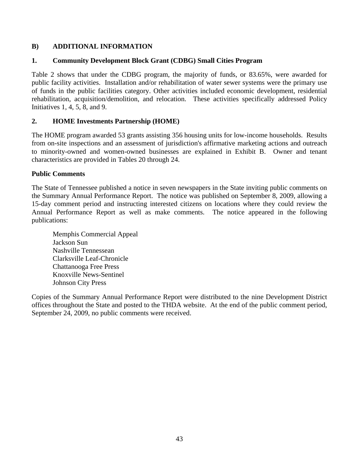## **B) ADDITIONAL INFORMATION**

## **1. Community Development Block Grant (CDBG) Small Cities Program**

Table 2 shows that under the CDBG program, the majority of funds, or 83.65%, were awarded for public facility activities. Installation and/or rehabilitation of water sewer systems were the primary use of funds in the public facilities category. Other activities included economic development, residential rehabilitation, acquisition/demolition, and relocation. These activities specifically addressed Policy Initiatives 1, 4, 5, 8, and 9.

## **2. HOME Investments Partnership (HOME)**

The HOME program awarded 53 grants assisting 356 housing units for low-income households. Results from on-site inspections and an assessment of jurisdiction's affirmative marketing actions and outreach to minority-owned and women-owned businesses are explained in Exhibit B. Owner and tenant characteristics are provided in Tables 20 through 24.

#### **Public Comments**

The State of Tennessee published a notice in seven newspapers in the State inviting public comments on the Summary Annual Performance Report. The notice was published on September 8, 2009, allowing a 15-day comment period and instructing interested citizens on locations where they could review the Annual Performance Report as well as make comments. The notice appeared in the following publications:

Memphis Commercial Appeal Jackson Sun Nashville Tennessean Clarksville Leaf-Chronicle Chattanooga Free Press Knoxville News-Sentinel Johnson City Press

Copies of the Summary Annual Performance Report were distributed to the nine Development District offices throughout the State and posted to the THDA website. At the end of the public comment period, September 24, 2009, no public comments were received.